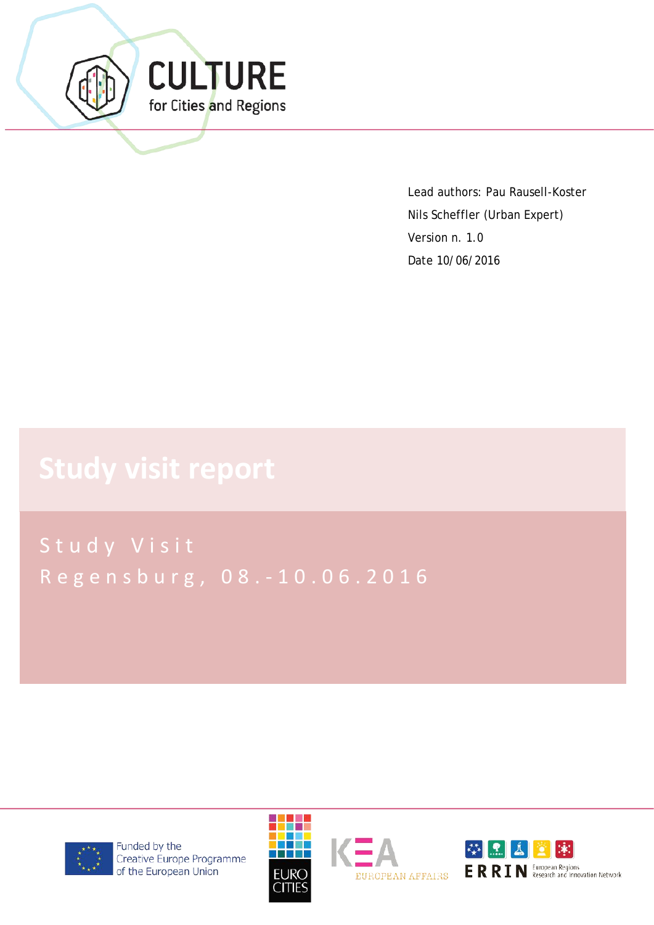

Lead authors: Pau Rausell-Koster Nils Scheffler (Urban Expert) Version n. 1.0 Date 10/06/2016

Study Visit Regensburg, 08. - 10.06.2016



Funded by the Creative Europe Programme of the European Union



EUROPEAN AFFAIRS

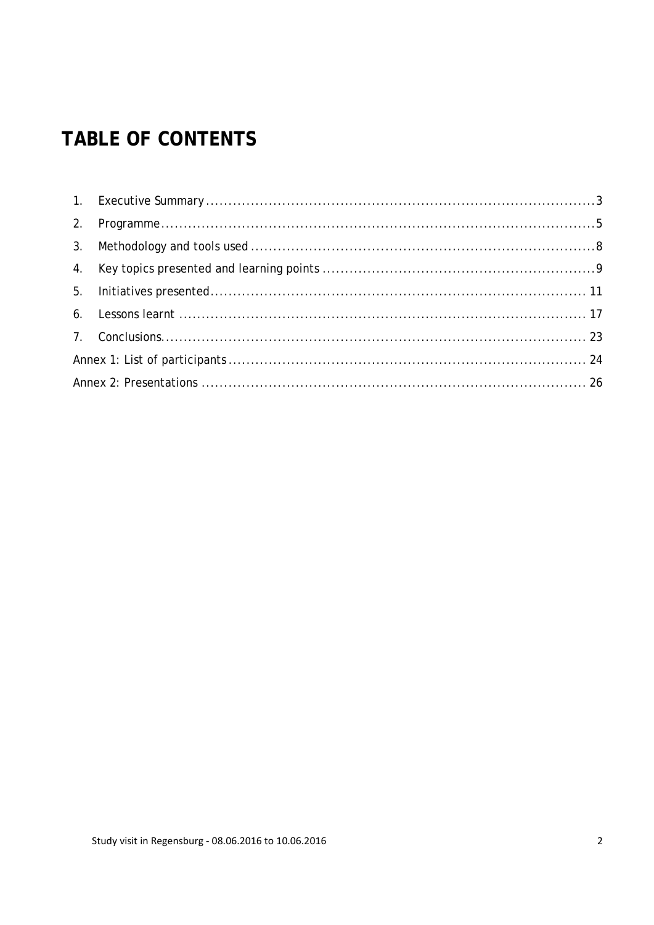# **TABLE OF CONTENTS**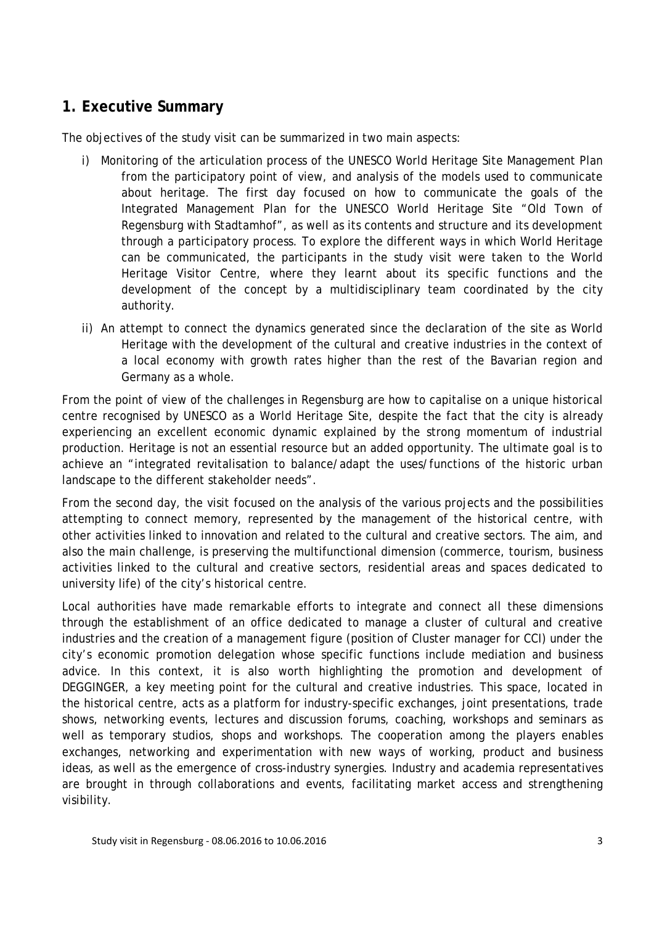### <span id="page-2-0"></span>**1. Executive Summary**

The objectives of the study visit can be summarized in two main aspects:

- i) Monitoring of the articulation process of the UNESCO World Heritage Site Management Plan from the participatory point of view, and analysis of the models used to communicate about heritage. The first day focused on how to communicate the goals of the Integrated Management Plan for the UNESCO World Heritage Site "Old Town of Regensburg with Stadtamhof", as well as its contents and structure and its development through a participatory process. To explore the different ways in which World Heritage can be communicated, the participants in the study visit were taken to the World Heritage Visitor Centre, where they learnt about its specific functions and the development of the concept by a multidisciplinary team coordinated by the city authority.
- ii) An attempt to connect the dynamics generated since the declaration of the site as World Heritage with the development of the cultural and creative industries in the context of a local economy with growth rates higher than the rest of the Bavarian region and Germany as a whole.

From the point of view of the challenges in Regensburg are how to capitalise on a unique historical centre recognised by UNESCO as a World Heritage Site, despite the fact that the city is already experiencing an excellent economic dynamic explained by the strong momentum of industrial production. Heritage is not an essential resource but an added opportunity. The ultimate goal is to achieve an "integrated revitalisation to balance/adapt the uses/functions of the historic urban landscape to the different stakeholder needs".

From the second day, the visit focused on the analysis of the various projects and the possibilities attempting to connect memory, represented by the management of the historical centre, with other activities linked to innovation and related to the cultural and creative sectors. The aim, and also the main challenge, is preserving the multifunctional dimension (commerce, tourism, business activities linked to the cultural and creative sectors, residential areas and spaces dedicated to university life) of the city's historical centre.

Local authorities have made remarkable efforts to integrate and connect all these dimensions through the establishment of an office dedicated to manage a cluster of cultural and creative industries and the creation of a management figure (position of Cluster manager for CCI) under the city's economic promotion delegation whose specific functions include mediation and business advice. In this context, it is also worth highlighting the promotion and development of DEGGINGER, a key meeting point for the cultural and creative industries. This space, located in the historical centre, acts as a platform for industry-specific exchanges, joint presentations, trade shows, networking events, lectures and discussion forums, coaching, workshops and seminars as well as temporary studios, shops and workshops. The cooperation among the players enables exchanges, networking and experimentation with new ways of working, product and business ideas, as well as the emergence of cross-industry synergies. Industry and academia representatives are brought in through collaborations and events, facilitating market access and strengthening visibility.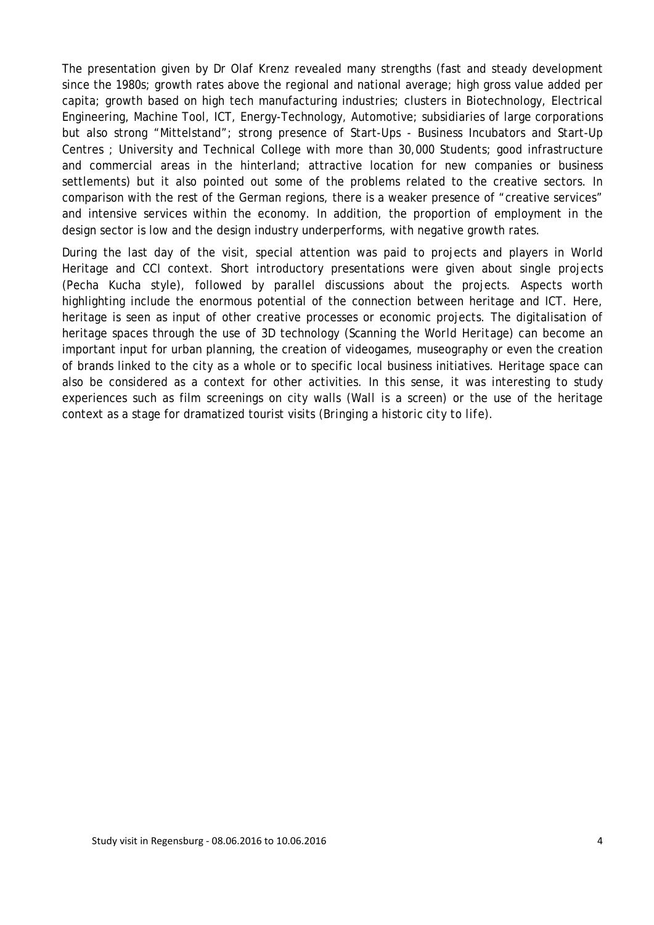The presentation given by Dr Olaf Krenz revealed many strengths (fast and steady development since the 1980s; growth rates above the regional and national average; high gross value added per capita; growth based on high tech manufacturing industries; clusters in Biotechnology, Electrical Engineering, Machine Tool, ICT, Energy-Technology, Automotive; subsidiaries of large corporations but also strong "Mittelstand"; strong presence of Start-Ups - Business Incubators and Start-Up Centres ; University and Technical College with more than 30,000 Students; good infrastructure and commercial areas in the hinterland; attractive location for new companies or business settlements) but it also pointed out some of the problems related to the creative sectors. In comparison with the rest of the German regions, there is a weaker presence of "creative services" and intensive services within the economy. In addition, the proportion of employment in the design sector is low and the design industry underperforms, with negative growth rates.

During the last day of the visit, special attention was paid to projects and players in World Heritage and CCI context. Short introductory presentations were given about single projects (Pecha Kucha style), followed by parallel discussions about the projects. Aspects worth highlighting include the enormous potential of the connection between heritage and ICT. Here, heritage is seen as input of other creative processes or economic projects. The digitalisation of heritage spaces through the use of 3D technology (*Scanning the World Heritage*) can become an important input for urban planning, the creation of videogames, museography or even the creation of brands linked to the city as a whole or to specific local business initiatives. Heritage space can also be considered as a context for other activities. In this sense, it was interesting to study experiences such as film screenings on city walls (*Wall is a screen*) or the use of the heritage context as a stage for dramatized tourist visits (*Bringing a historic city to life*).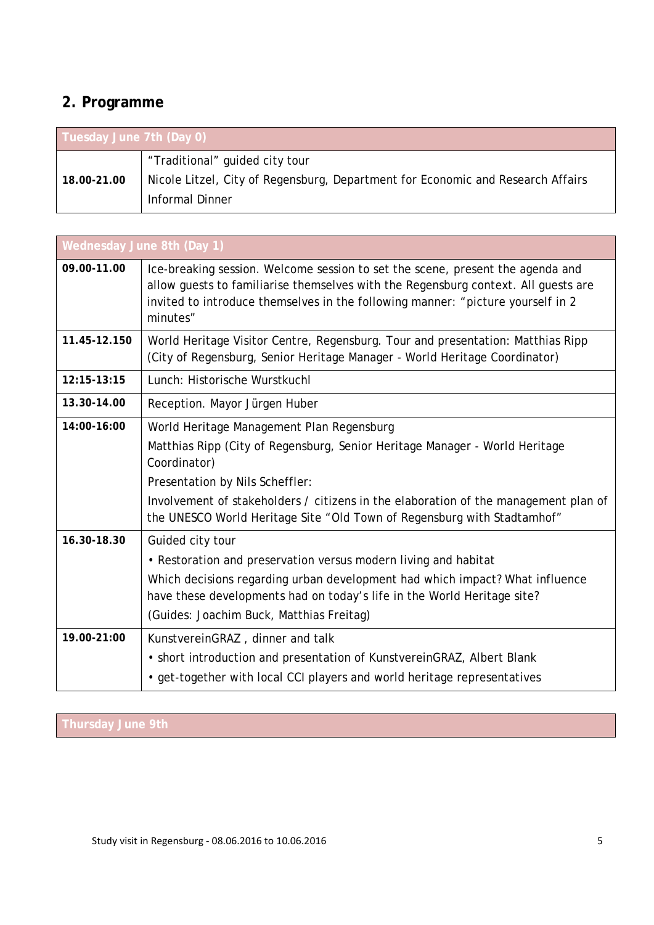# <span id="page-4-0"></span>**2. Programme**

| Tuesday June 7th (Day 0) |                                                                                 |  |
|--------------------------|---------------------------------------------------------------------------------|--|
|                          | "Traditional" guided city tour                                                  |  |
| 18.00-21.00              | Nicole Litzel, City of Regensburg, Department for Economic and Research Affairs |  |
|                          | Informal Dinner                                                                 |  |

| Wednesday June 8th (Day 1) |                                                                                                                                                                                                                                                                     |  |
|----------------------------|---------------------------------------------------------------------------------------------------------------------------------------------------------------------------------------------------------------------------------------------------------------------|--|
| 09.00-11.00                | Ice-breaking session. Welcome session to set the scene, present the agenda and<br>allow guests to familiarise themselves with the Regensburg context. All guests are<br>invited to introduce themselves in the following manner: "picture yourself in 2<br>minutes" |  |
| 11.45-12.150               | World Heritage Visitor Centre, Regensburg. Tour and presentation: Matthias Ripp<br>(City of Regensburg, Senior Heritage Manager - World Heritage Coordinator)                                                                                                       |  |
| 12:15-13:15                | Lunch: Historische Wurstkuchl                                                                                                                                                                                                                                       |  |
| 13.30-14.00                | Reception. Mayor Jürgen Huber                                                                                                                                                                                                                                       |  |
| 14:00-16:00                | World Heritage Management Plan Regensburg                                                                                                                                                                                                                           |  |
|                            | Matthias Ripp (City of Regensburg, Senior Heritage Manager - World Heritage<br>Coordinator)                                                                                                                                                                         |  |
|                            | Presentation by Nils Scheffler:                                                                                                                                                                                                                                     |  |
|                            | Involvement of stakeholders / citizens in the elaboration of the management plan of<br>the UNESCO World Heritage Site "Old Town of Regensburg with Stadtamhof"                                                                                                      |  |
| 16.30-18.30                | Guided city tour                                                                                                                                                                                                                                                    |  |
|                            | • Restoration and preservation versus modern living and habitat                                                                                                                                                                                                     |  |
|                            | Which decisions regarding urban development had which impact? What influence<br>have these developments had on today's life in the World Heritage site?                                                                                                             |  |
|                            | (Guides: Joachim Buck, Matthias Freitag)                                                                                                                                                                                                                            |  |
| 19.00-21:00                | KunstvereinGRAZ, dinner and talk                                                                                                                                                                                                                                    |  |
|                            | • short introduction and presentation of KunstvereinGRAZ, Albert Blank                                                                                                                                                                                              |  |
|                            | • get-together with local CCI players and world heritage representatives                                                                                                                                                                                            |  |

**Thursday June 9th**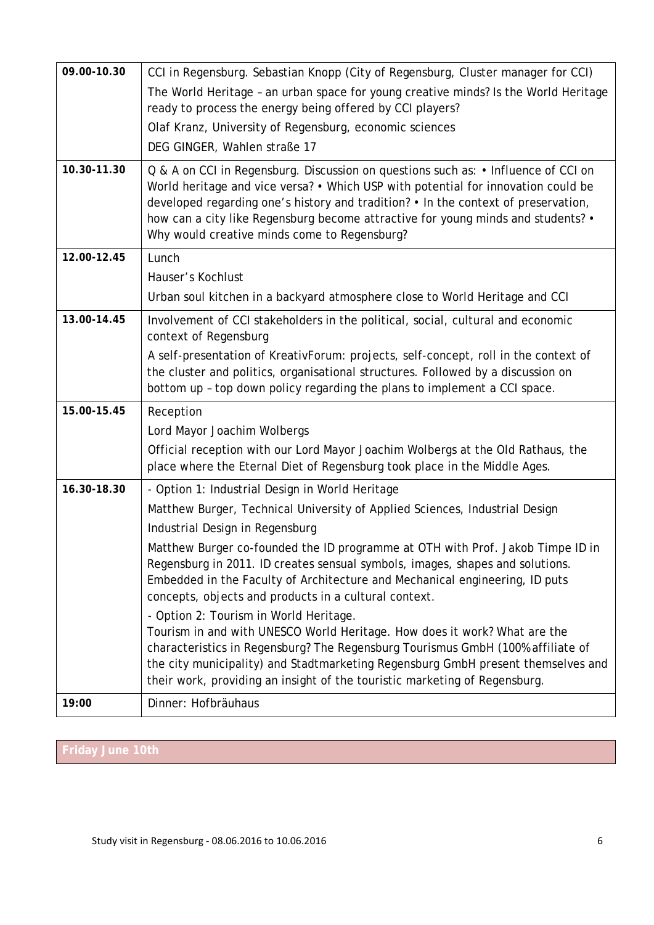| 09.00-10.30 | CCI in Regensburg. Sebastian Knopp (City of Regensburg, Cluster manager for CCI)                                                                                                                                                                                                                                                                                                                  |
|-------------|---------------------------------------------------------------------------------------------------------------------------------------------------------------------------------------------------------------------------------------------------------------------------------------------------------------------------------------------------------------------------------------------------|
|             |                                                                                                                                                                                                                                                                                                                                                                                                   |
|             | The World Heritage - an urban space for young creative minds? Is the World Heritage<br>ready to process the energy being offered by CCI players?                                                                                                                                                                                                                                                  |
|             | Olaf Kranz, University of Regensburg, economic sciences                                                                                                                                                                                                                                                                                                                                           |
|             | DEG GINGER, Wahlen straße 17                                                                                                                                                                                                                                                                                                                                                                      |
| 10.30-11.30 | Q & A on CCI in Regensburg. Discussion on questions such as: • Influence of CCI on<br>World heritage and vice versa? • Which USP with potential for innovation could be<br>developed regarding one's history and tradition? • In the context of preservation,<br>how can a city like Regensburg become attractive for young minds and students? •<br>Why would creative minds come to Regensburg? |
| 12.00-12.45 | Lunch                                                                                                                                                                                                                                                                                                                                                                                             |
|             | Hauser's Kochlust                                                                                                                                                                                                                                                                                                                                                                                 |
|             | Urban soul kitchen in a backyard atmosphere close to World Heritage and CCI                                                                                                                                                                                                                                                                                                                       |
| 13.00-14.45 | Involvement of CCI stakeholders in the political, social, cultural and economic<br>context of Regensburg                                                                                                                                                                                                                                                                                          |
|             | A self-presentation of KreativForum: projects, self-concept, roll in the context of<br>the cluster and politics, organisational structures. Followed by a discussion on<br>bottom up - top down policy regarding the plans to implement a CCI space.                                                                                                                                              |
| 15.00-15.45 | Reception                                                                                                                                                                                                                                                                                                                                                                                         |
|             | Lord Mayor Joachim Wolbergs                                                                                                                                                                                                                                                                                                                                                                       |
|             | Official reception with our Lord Mayor Joachim Wolbergs at the Old Rathaus, the<br>place where the Eternal Diet of Regensburg took place in the Middle Ages.                                                                                                                                                                                                                                      |
| 16.30-18.30 | - Option 1: Industrial Design in World Heritage                                                                                                                                                                                                                                                                                                                                                   |
|             | Matthew Burger, Technical University of Applied Sciences, Industrial Design                                                                                                                                                                                                                                                                                                                       |
|             | Industrial Design in Regensburg                                                                                                                                                                                                                                                                                                                                                                   |
|             | Matthew Burger co-founded the ID programme at OTH with Prof. Jakob Timpe ID in<br>Regensburg in 2011. ID creates sensual symbols, images, shapes and solutions.<br>Embedded in the Faculty of Architecture and Mechanical engineering, ID puts<br>concepts, objects and products in a cultural context.                                                                                           |
|             | - Option 2: Tourism in World Heritage.<br>Tourism in and with UNESCO World Heritage. How does it work? What are the<br>characteristics in Regensburg? The Regensburg Tourismus GmbH (100% affiliate of<br>the city municipality) and Stadtmarketing Regensburg GmbH present themselves and<br>their work, providing an insight of the touristic marketing of Regensburg.                          |
| 19:00       | Dinner: Hofbräuhaus                                                                                                                                                                                                                                                                                                                                                                               |

# **Friday June 10th**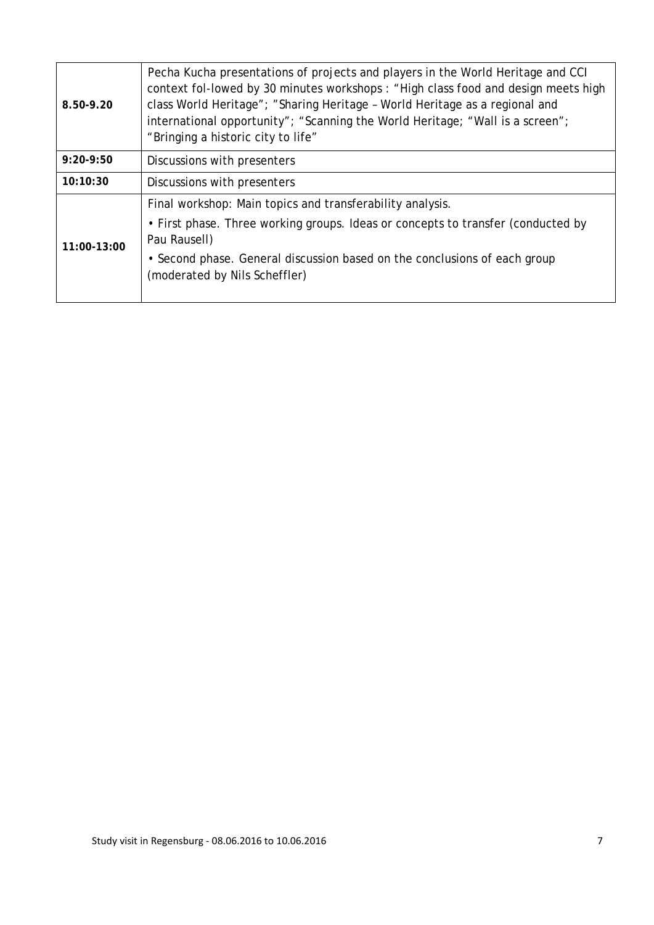| Pecha Kucha presentations of projects and players in the World Heritage and CCI<br>context fol-lowed by 30 minutes workshops: "High class food and design meets high<br>class World Heritage"; "Sharing Heritage - World Heritage as a regional and<br>8.50-9.20<br>international opportunity"; "Scanning the World Heritage; "Wall is a screen";<br>"Bringing a historic city to life" |                                                                                                            |
|-----------------------------------------------------------------------------------------------------------------------------------------------------------------------------------------------------------------------------------------------------------------------------------------------------------------------------------------------------------------------------------------|------------------------------------------------------------------------------------------------------------|
| $9:20-9:50$<br>Discussions with presenters                                                                                                                                                                                                                                                                                                                                              |                                                                                                            |
| 10:10:30                                                                                                                                                                                                                                                                                                                                                                                | Discussions with presenters                                                                                |
|                                                                                                                                                                                                                                                                                                                                                                                         | Final workshop: Main topics and transferability analysis.                                                  |
| 11:00-13:00                                                                                                                                                                                                                                                                                                                                                                             | • First phase. Three working groups. Ideas or concepts to transfer (conducted by<br>Pau Rausell)           |
|                                                                                                                                                                                                                                                                                                                                                                                         | • Second phase. General discussion based on the conclusions of each group<br>(moderated by Nils Scheffler) |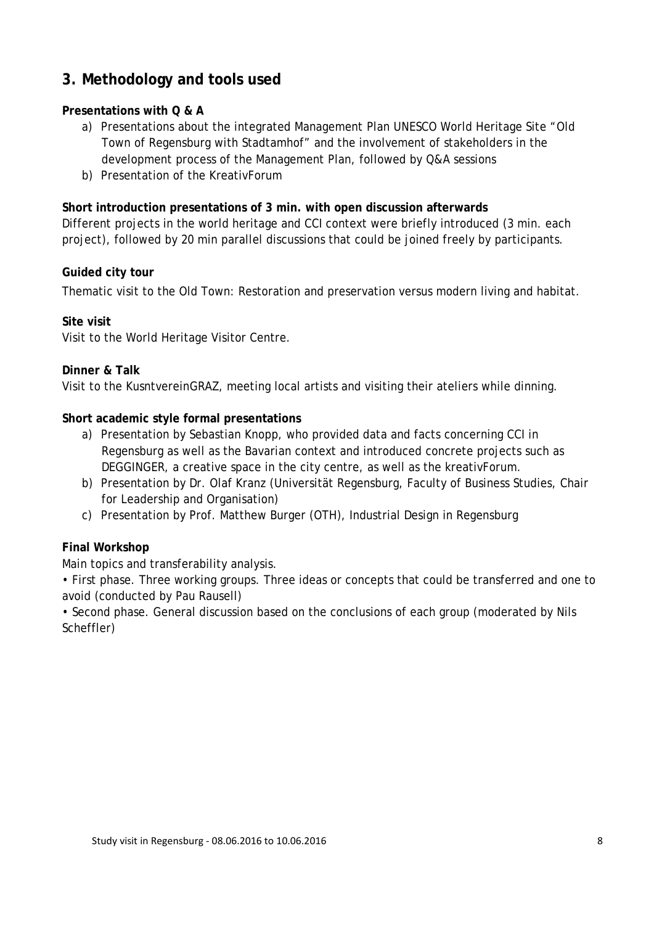## <span id="page-7-0"></span>**3. Methodology and tools used**

#### **Presentations with Q & A**

- a) Presentations about the integrated Management Plan UNESCO World Heritage Site "Old Town of Regensburg with Stadtamhof" and the involvement of stakeholders in the development process of the Management Plan, followed by Q&A sessions
- b) Presentation of the KreativForum

#### **Short introduction presentations of 3 min. with open discussion afterwards**

Different projects in the world heritage and CCI context were briefly introduced (3 min. each project), followed by 20 min parallel discussions that could be joined freely by participants.

#### **Guided city tour**

Thematic visit to the Old Town: Restoration and preservation versus modern living and habitat.

#### **Site visit**

Visit to the World Heritage Visitor Centre.

#### **Dinner & Talk**

Visit to the KusntvereinGRAZ, meeting local artists and visiting their ateliers while dinning.

#### **Short academic style formal presentations**

- a) Presentation by Sebastian Knopp, who provided data and facts concerning CCI in Regensburg as well as the Bavarian context and introduced concrete projects such as DEGGINGER, a creative space in the city centre, as well as the kreativForum.
- b) Presentation by Dr. Olaf Kranz (Universität Regensburg, Faculty of Business Studies, Chair for Leadership and Organisation)
- c) Presentation by Prof. Matthew Burger (OTH), Industrial Design in Regensburg

#### **Final Workshop**

Main topics and transferability analysis.

• First phase. Three working groups. Three ideas or concepts that could be transferred and one to avoid (conducted by Pau Rausell)

• Second phase. General discussion based on the conclusions of each group (moderated by Nils Scheffler)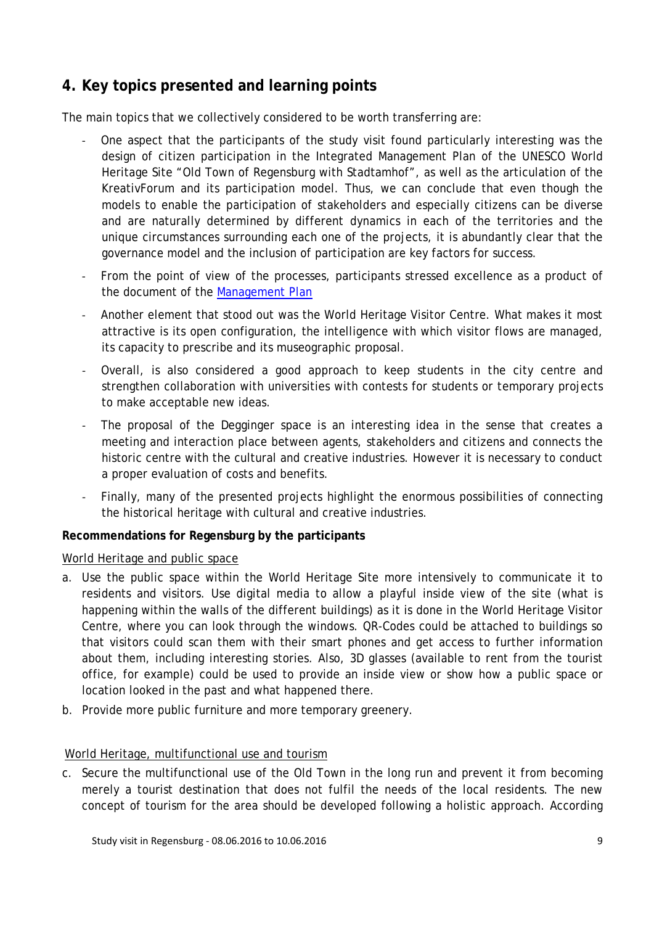# <span id="page-8-0"></span>**4. Key topics presented and learning points**

The main topics that we collectively considered to be worth transferring are:

- One aspect that the participants of the study visit found particularly interesting was the design of citizen participation in the Integrated Management Plan of the UNESCO World Heritage Site "Old Town of Regensburg with Stadtamhof", as well as the articulation of the KreativForum and its participation model. Thus, we can conclude that even though the models to enable the participation of stakeholders and especially citizens can be diverse and are naturally determined by different dynamics in each of the territories and the unique circumstances surrounding each one of the projects, it is abundantly clear that the governance model and the inclusion of participation are key factors for success.
- From the point of view of the processes, participants stressed excellence as a product of the document of the [Management Plan](https://www.regensburg.de/sixcms/media.php/280/STADT_RGBG_MANAGEMENTPLAN_WELTERBE_GB_screen.pdf)
- Another element that stood out was the World Heritage Visitor Centre. What makes it most attractive is its open configuration, the intelligence with which visitor flows are managed, its capacity to prescribe and its museographic proposal.
- Overall, is also considered a good approach to keep students in the city centre and strengthen collaboration with universities with contests for students or temporary projects to make acceptable new ideas.
- The proposal of the Degginger space is an interesting idea in the sense that creates a meeting and interaction place between agents, stakeholders and citizens and connects the historic centre with the cultural and creative industries. However it is necessary to conduct a proper evaluation of costs and benefits.
- Finally, many of the presented projects highlight the enormous possibilities of connecting the historical heritage with cultural and creative industries.

### **Recommendations for Regensburg by the participants**

#### World Heritage and public space

- a. Use the public space within the World Heritage Site more intensively to communicate it to residents and visitors. Use digital media to allow a playful inside view of the site (what is happening within the walls of the different buildings) as it is done in the World Heritage Visitor Centre, where you can look through the windows. QR-Codes could be attached to buildings so that visitors could scan them with their smart phones and get access to further information about them, including interesting stories. Also, 3D glasses (available to rent from the tourist office, for example) could be used to provide an inside view or show how a public space or location looked in the past and what happened there.
- b. Provide more public furniture and more temporary greenery.

#### World Heritage, multifunctional use and tourism

c. Secure the multifunctional use of the Old Town in the long run and prevent it from becoming merely a tourist destination that does not fulfil the needs of the local residents. The new concept of tourism for the area should be developed following a holistic approach. According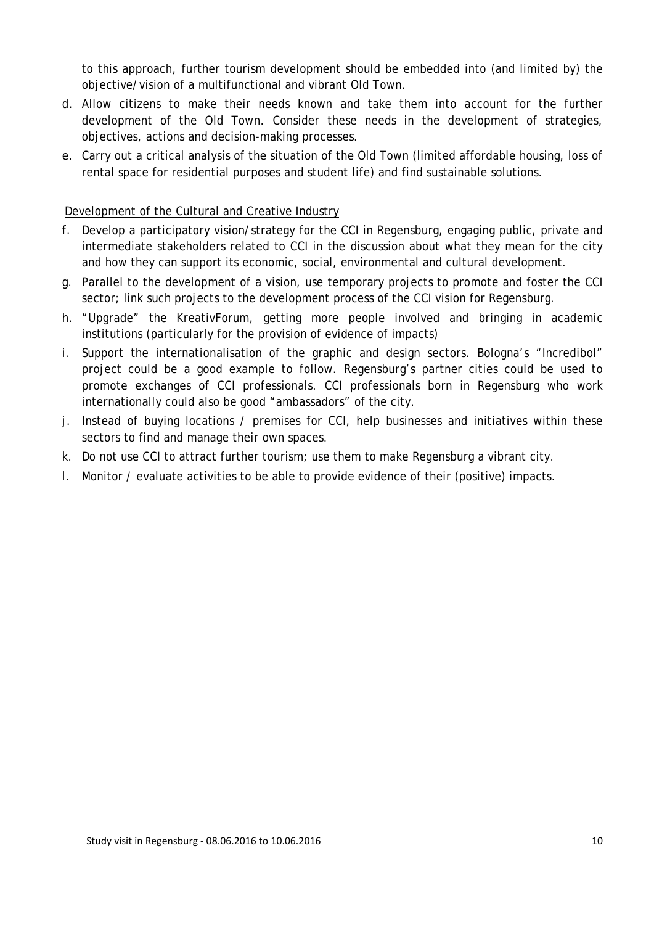to this approach, further tourism development should be embedded into (and limited by) the objective/vision of a multifunctional and vibrant Old Town.

- d. Allow citizens to make their needs known and take them into account for the further development of the Old Town. Consider these needs in the development of strategies, objectives, actions and decision-making processes.
- e. Carry out a critical analysis of the situation of the Old Town (limited affordable housing, loss of rental space for residential purposes and student life) and find sustainable solutions.

#### Development of the Cultural and Creative Industry

- f. Develop a participatory vision/strategy for the CCI in Regensburg, engaging public, private and intermediate stakeholders related to CCI in the discussion about what they mean for the city and how they can support its economic, social, environmental and cultural development.
- g. Parallel to the development of a vision, use temporary projects to promote and foster the CCI sector; link such projects to the development process of the CCI vision for Regensburg.
- h. "Upgrade" the KreativForum, getting more people involved and bringing in academic institutions (particularly for the provision of evidence of impacts)
- i. Support the internationalisation of the graphic and design sectors. Bologna's "Incredibol" project could be a good example to follow. Regensburg's partner cities could be used to promote exchanges of CCI professionals. CCI professionals born in Regensburg who work internationally could also be good "ambassadors" of the city.
- j. Instead of buying locations / premises for CCI, help businesses and initiatives within these sectors to find and manage their own spaces.
- k. Do not use CCI to attract further tourism; use them to make Regensburg a vibrant city.
- l. Monitor / evaluate activities to be able to provide evidence of their (positive) impacts.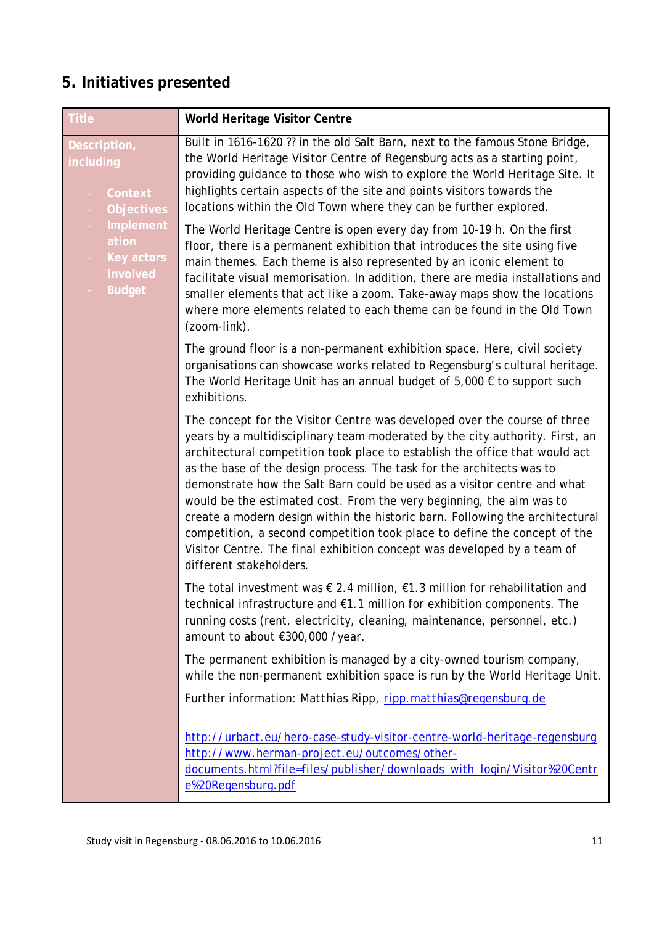# <span id="page-10-0"></span>**5. Initiatives presented**

| Title                                                                | World Heritage Visitor Centre                                                                                                                                                                                                                                                                                                                                                                                                                                                                                                                                                                                                                                                                                                            |
|----------------------------------------------------------------------|------------------------------------------------------------------------------------------------------------------------------------------------------------------------------------------------------------------------------------------------------------------------------------------------------------------------------------------------------------------------------------------------------------------------------------------------------------------------------------------------------------------------------------------------------------------------------------------------------------------------------------------------------------------------------------------------------------------------------------------|
| Description,<br>including<br>Context<br><b>Objectives</b>            | Built in 1616-1620 ?? in the old Salt Barn, next to the famous Stone Bridge,<br>the World Heritage Visitor Centre of Regensburg acts as a starting point,<br>providing guidance to those who wish to explore the World Heritage Site. It<br>highlights certain aspects of the site and points visitors towards the<br>locations within the Old Town where they can be further explored.                                                                                                                                                                                                                                                                                                                                                  |
| Implement<br>ation<br><b>Key actors</b><br>involved<br><b>Budget</b> | The World Heritage Centre is open every day from 10-19 h. On the first<br>floor, there is a permanent exhibition that introduces the site using five<br>main themes. Each theme is also represented by an iconic element to<br>facilitate visual memorisation. In addition, there are media installations and<br>smaller elements that act like a zoom. Take-away maps show the locations<br>where more elements related to each theme can be found in the Old Town<br>(zoom-link).                                                                                                                                                                                                                                                      |
|                                                                      | The ground floor is a non-permanent exhibition space. Here, civil society<br>organisations can showcase works related to Regensburg's cultural heritage.<br>The World Heritage Unit has an annual budget of $5,000 \in$ to support such<br>exhibitions.                                                                                                                                                                                                                                                                                                                                                                                                                                                                                  |
|                                                                      | The concept for the Visitor Centre was developed over the course of three<br>years by a multidisciplinary team moderated by the city authority. First, an<br>architectural competition took place to establish the office that would act<br>as the base of the design process. The task for the architects was to<br>demonstrate how the Salt Barn could be used as a visitor centre and what<br>would be the estimated cost. From the very beginning, the aim was to<br>create a modern design within the historic barn. Following the architectural<br>competition, a second competition took place to define the concept of the<br>Visitor Centre. The final exhibition concept was developed by a team of<br>different stakeholders. |
|                                                                      | The total investment was $\epsilon$ 2.4 million, $\epsilon$ 1.3 million for rehabilitation and<br>technical infrastructure and €1.1 million for exhibition components. The<br>running costs (rent, electricity, cleaning, maintenance, personnel, etc.)<br>amount to about €300,000 /year.                                                                                                                                                                                                                                                                                                                                                                                                                                               |
|                                                                      | The permanent exhibition is managed by a city-owned tourism company,<br>while the non-permanent exhibition space is run by the World Heritage Unit.                                                                                                                                                                                                                                                                                                                                                                                                                                                                                                                                                                                      |
|                                                                      | Further information: Matthias Ripp, ripp.matthias@regensburg.de                                                                                                                                                                                                                                                                                                                                                                                                                                                                                                                                                                                                                                                                          |
|                                                                      | http://urbact.eu/hero-case-study-visitor-centre-world-heritage-regensburg<br>http://www.herman-project.eu/outcomes/other-<br>documents.html?file=files/publisher/downloads_with_login/Visitor%20Centr<br>e%20Regensburg.pdf                                                                                                                                                                                                                                                                                                                                                                                                                                                                                                              |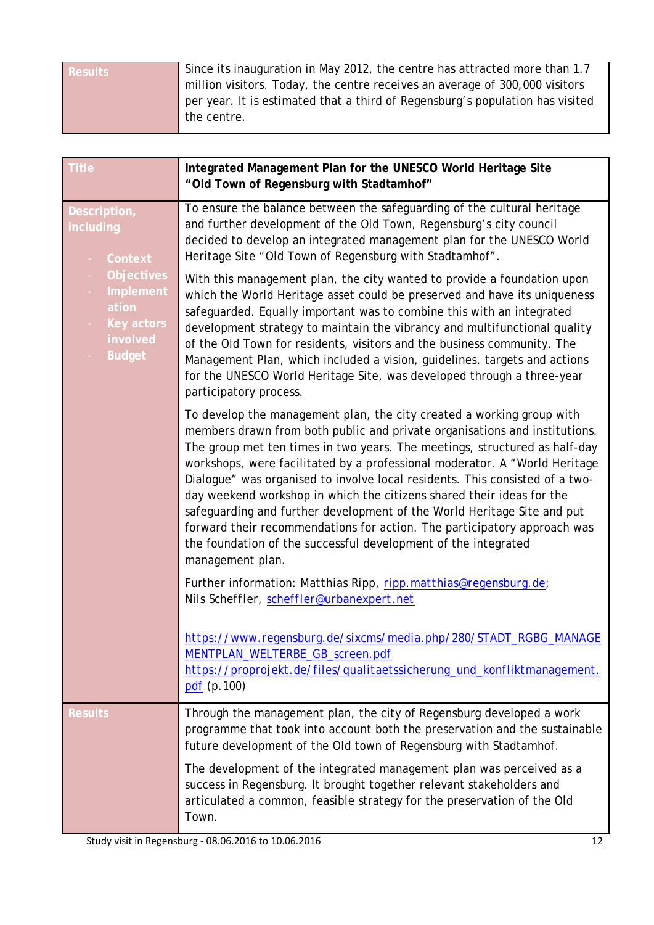| <b>Results</b> | Since its inauguration in May 2012, the centre has attracted more than 1.7<br>million visitors. Today, the centre receives an average of 300,000 visitors |
|----------------|-----------------------------------------------------------------------------------------------------------------------------------------------------------|
|                | per year. It is estimated that a third of Regensburg's population has visited<br>the centre.                                                              |

| <b>Title</b>                                                                                        | Integrated Management Plan for the UNESCO World Heritage Site<br>"Old Town of Regensburg with Stadtamhof"                                                                                                                                                                                                                                                                                                                                                                                                                                                                                                                                                                                                             |
|-----------------------------------------------------------------------------------------------------|-----------------------------------------------------------------------------------------------------------------------------------------------------------------------------------------------------------------------------------------------------------------------------------------------------------------------------------------------------------------------------------------------------------------------------------------------------------------------------------------------------------------------------------------------------------------------------------------------------------------------------------------------------------------------------------------------------------------------|
| Description,<br>including<br>Context                                                                | To ensure the balance between the safeguarding of the cultural heritage<br>and further development of the Old Town, Regensburg's city council<br>decided to develop an integrated management plan for the UNESCO World<br>Heritage Site "Old Town of Regensburg with Stadtamhof".                                                                                                                                                                                                                                                                                                                                                                                                                                     |
| <b>Objectives</b><br>$\sim$<br>Implement<br>ation<br><b>Key actors</b><br>involved<br><b>Budget</b> | With this management plan, the city wanted to provide a foundation upon<br>which the World Heritage asset could be preserved and have its uniqueness<br>safeguarded. Equally important was to combine this with an integrated<br>development strategy to maintain the vibrancy and multifunctional quality<br>of the Old Town for residents, visitors and the business community. The<br>Management Plan, which included a vision, guidelines, targets and actions<br>for the UNESCO World Heritage Site, was developed through a three-year<br>participatory process.                                                                                                                                                |
|                                                                                                     | To develop the management plan, the city created a working group with<br>members drawn from both public and private organisations and institutions.<br>The group met ten times in two years. The meetings, structured as half-day<br>workshops, were facilitated by a professional moderator. A "World Heritage<br>Dialogue" was organised to involve local residents. This consisted of a two-<br>day weekend workshop in which the citizens shared their ideas for the<br>safeguarding and further development of the World Heritage Site and put<br>forward their recommendations for action. The participatory approach was<br>the foundation of the successful development of the integrated<br>management plan. |
|                                                                                                     | Further information: Matthias Ripp, ripp.matthias@regensburg.de;<br>Nils Scheffler, scheffler@urbanexpert.net                                                                                                                                                                                                                                                                                                                                                                                                                                                                                                                                                                                                         |
|                                                                                                     | https://www.regensburg.de/sixcms/media.php/280/STADT_RGBG_MANAGE<br>MENTPLAN_WELTERBE_GB_screen.pdf<br>https://proprojekt.de/files/qualitaetssicherung_und_konfliktmanagement.<br>pdf (p. 100)                                                                                                                                                                                                                                                                                                                                                                                                                                                                                                                        |
| <b>Results</b>                                                                                      | Through the management plan, the city of Regensburg developed a work<br>programme that took into account both the preservation and the sustainable<br>future development of the Old town of Regensburg with Stadtamhof.                                                                                                                                                                                                                                                                                                                                                                                                                                                                                               |
|                                                                                                     | The development of the integrated management plan was perceived as a<br>success in Regensburg. It brought together relevant stakeholders and<br>articulated a common, feasible strategy for the preservation of the Old<br>Town.                                                                                                                                                                                                                                                                                                                                                                                                                                                                                      |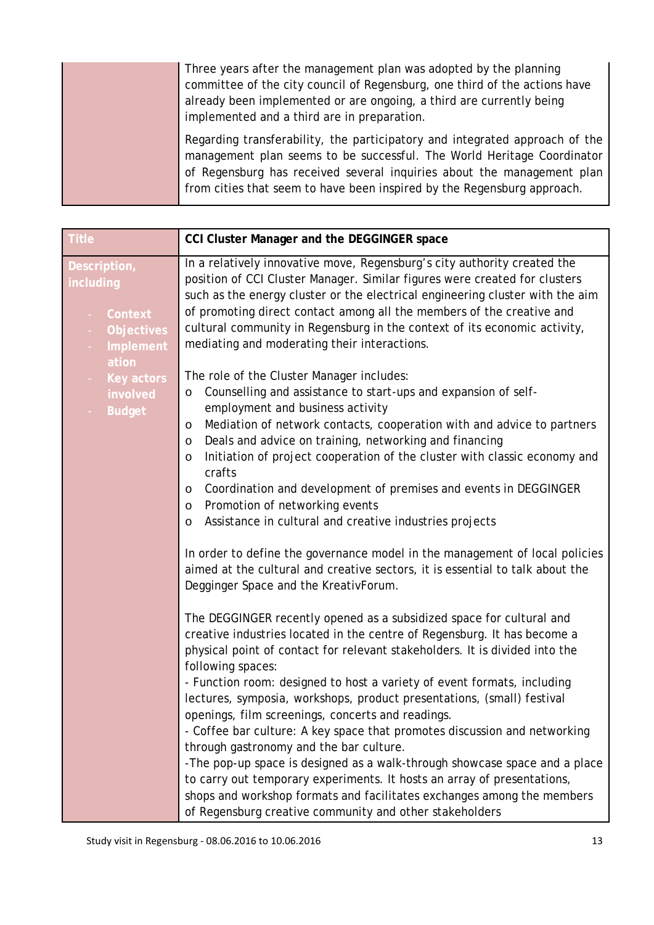| Three years after the management plan was adopted by the planning<br>committee of the city council of Regensburg, one third of the actions have<br>already been implemented or are ongoing, a third are currently being<br>implemented and a third are in preparation.                                     |
|------------------------------------------------------------------------------------------------------------------------------------------------------------------------------------------------------------------------------------------------------------------------------------------------------------|
| Regarding transferability, the participatory and integrated approach of the<br>management plan seems to be successful. The World Heritage Coordinator<br>of Regensburg has received several inquiries about the management plan<br>from cities that seem to have been inspired by the Regensburg approach. |

| <b>Title</b>                                                                     | CCI Cluster Manager and the DEGGINGER space                                                                                                                                                                                                                                                                                                                                                                                                                                                                                                                                                                                                                                                                                                                                                                                                                                                                                                                                                                                                                                                                                                                                                                                                                                                                                                                                                                                                                                                                                                                                                                                                                                     |
|----------------------------------------------------------------------------------|---------------------------------------------------------------------------------------------------------------------------------------------------------------------------------------------------------------------------------------------------------------------------------------------------------------------------------------------------------------------------------------------------------------------------------------------------------------------------------------------------------------------------------------------------------------------------------------------------------------------------------------------------------------------------------------------------------------------------------------------------------------------------------------------------------------------------------------------------------------------------------------------------------------------------------------------------------------------------------------------------------------------------------------------------------------------------------------------------------------------------------------------------------------------------------------------------------------------------------------------------------------------------------------------------------------------------------------------------------------------------------------------------------------------------------------------------------------------------------------------------------------------------------------------------------------------------------------------------------------------------------------------------------------------------------|
| Description,<br>including<br>Context<br><b>Objectives</b><br>$\sim$<br>Implement | In a relatively innovative move, Regensburg's city authority created the<br>position of CCI Cluster Manager. Similar figures were created for clusters<br>such as the energy cluster or the electrical engineering cluster with the aim<br>of promoting direct contact among all the members of the creative and<br>cultural community in Regensburg in the context of its economic activity,<br>mediating and moderating their interactions.                                                                                                                                                                                                                                                                                                                                                                                                                                                                                                                                                                                                                                                                                                                                                                                                                                                                                                                                                                                                                                                                                                                                                                                                                                   |
| ation<br>Key actors<br>$\sim$<br>involved<br><b>Budget</b>                       | The role of the Cluster Manager includes:<br>Counselling and assistance to start-ups and expansion of self-<br>O<br>employment and business activity<br>Mediation of network contacts, cooperation with and advice to partners<br>O<br>Deals and advice on training, networking and financing<br>O<br>Initiation of project cooperation of the cluster with classic economy and<br>O<br>crafts<br>Coordination and development of premises and events in DEGGINGER<br>O<br>Promotion of networking events<br>O<br>Assistance in cultural and creative industries projects<br>O<br>In order to define the governance model in the management of local policies<br>aimed at the cultural and creative sectors, it is essential to talk about the<br>Degginger Space and the KreativForum.<br>The DEGGINGER recently opened as a subsidized space for cultural and<br>creative industries located in the centre of Regensburg. It has become a<br>physical point of contact for relevant stakeholders. It is divided into the<br>following spaces:<br>- Function room: designed to host a variety of event formats, including<br>lectures, symposia, workshops, product presentations, (small) festival<br>openings, film screenings, concerts and readings.<br>- Coffee bar culture: A key space that promotes discussion and networking<br>through gastronomy and the bar culture.<br>-The pop-up space is designed as a walk-through showcase space and a place<br>to carry out temporary experiments. It hosts an array of presentations,<br>shops and workshop formats and facilitates exchanges among the members<br>of Regensburg creative community and other stakeholders |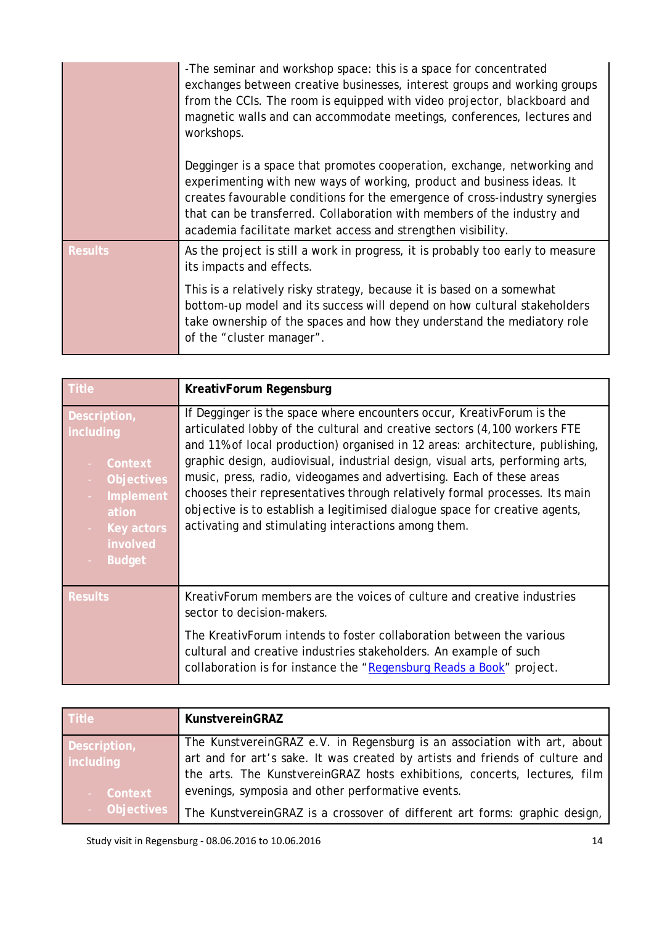|                | -The seminar and workshop space: this is a space for concentrated<br>exchanges between creative businesses, interest groups and working groups<br>from the CCIs. The room is equipped with video projector, blackboard and<br>magnetic walls and can accommodate meetings, conferences, lectures and<br>workshops.                                                           |
|----------------|------------------------------------------------------------------------------------------------------------------------------------------------------------------------------------------------------------------------------------------------------------------------------------------------------------------------------------------------------------------------------|
|                | Degginger is a space that promotes cooperation, exchange, networking and<br>experimenting with new ways of working, product and business ideas. It<br>creates favourable conditions for the emergence of cross-industry synergies<br>that can be transferred. Collaboration with members of the industry and<br>academia facilitate market access and strengthen visibility. |
| <b>Results</b> | As the project is still a work in progress, it is probably too early to measure<br>its impacts and effects.                                                                                                                                                                                                                                                                  |
|                | This is a relatively risky strategy, because it is based on a somewhat<br>bottom-up model and its success will depend on how cultural stakeholders<br>take ownership of the spaces and how they understand the mediatory role<br>of the "cluster manager".                                                                                                                   |

| <b>Title</b>                                                                                                                                | KreativForum Regensburg                                                                                                                                                                                                                                                                                                                                                                                                                                                                                                                                                                                           |
|---------------------------------------------------------------------------------------------------------------------------------------------|-------------------------------------------------------------------------------------------------------------------------------------------------------------------------------------------------------------------------------------------------------------------------------------------------------------------------------------------------------------------------------------------------------------------------------------------------------------------------------------------------------------------------------------------------------------------------------------------------------------------|
| Description,<br>including<br>Context<br><b>Objectives</b><br>Implement<br>ation<br><b>Key actors</b><br>$\sim$<br>involved<br><b>Budget</b> | If Degginger is the space where encounters occur, KreativForum is the<br>articulated lobby of the cultural and creative sectors (4,100 workers FTE<br>and 11% of local production) organised in 12 areas: architecture, publishing,<br>graphic design, audiovisual, industrial design, visual arts, performing arts,<br>music, press, radio, videogames and advertising. Each of these areas<br>chooses their representatives through relatively formal processes. Its main<br>objective is to establish a legitimised dialogue space for creative agents,<br>activating and stimulating interactions among them. |
| <b>Results</b>                                                                                                                              | KreativForum members are the voices of culture and creative industries<br>sector to decision-makers.                                                                                                                                                                                                                                                                                                                                                                                                                                                                                                              |
|                                                                                                                                             | The KreativForum intends to foster collaboration between the various<br>cultural and creative industries stakeholders. An example of such<br>collaboration is for instance the "Regensburg Reads a Book" project.                                                                                                                                                                                                                                                                                                                                                                                                 |

| Title        | <b>KunstvereinGRAZ</b>                                                       |
|--------------|------------------------------------------------------------------------------|
| Description, | The KunstvereinGRAZ e.V. in Regensburg is an association with art, about     |
| including    | art and for art's sake. It was created by artists and friends of culture and |
|              | the arts. The KunstvereinGRAZ hosts exhibitions, concerts, lectures, film    |
| - Context    | evenings, symposia and other performative events.                            |
| - Objectives | The KunstvereinGRAZ is a crossover of different art forms: graphic design,   |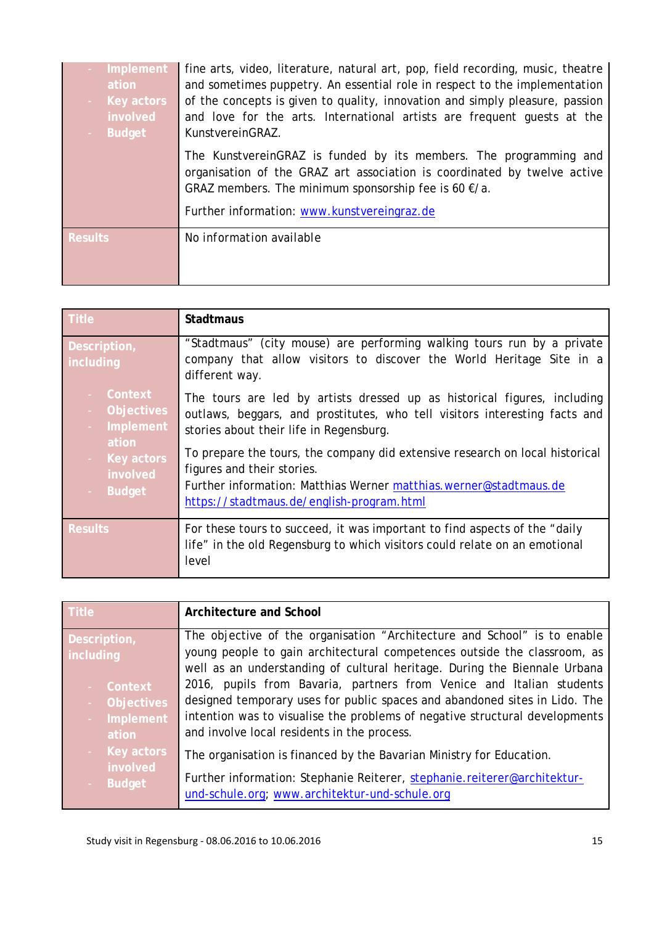| Implement<br>ation<br>Key actors<br>involved<br><b>Budget</b> | fine arts, video, literature, natural art, pop, field recording, music, theatre<br>and sometimes puppetry. An essential role in respect to the implementation<br>of the concepts is given to quality, innovation and simply pleasure, passion<br>and love for the arts. International artists are frequent quests at the<br>KunstvereinGRAZ. |
|---------------------------------------------------------------|----------------------------------------------------------------------------------------------------------------------------------------------------------------------------------------------------------------------------------------------------------------------------------------------------------------------------------------------|
|                                                               | The KunstvereinGRAZ is funded by its members. The programming and<br>organisation of the GRAZ art association is coordinated by twelve active<br>GRAZ members. The minimum sponsorship fee is 60 $\epsilon/a$ .<br>Further information: www.kunstvereingraz.de                                                                               |
| <b>Results</b>                                                | No information available                                                                                                                                                                                                                                                                                                                     |

| Title                                                                                                   | <b>Stadtmaus</b>                                                                                                                                                                                                                                                                                                                                                                                                                  |
|---------------------------------------------------------------------------------------------------------|-----------------------------------------------------------------------------------------------------------------------------------------------------------------------------------------------------------------------------------------------------------------------------------------------------------------------------------------------------------------------------------------------------------------------------------|
| Description,<br>including                                                                               | "Stadtmaus" (city mouse) are performing walking tours run by a private<br>company that allow visitors to discover the World Heritage Site in a<br>different way.                                                                                                                                                                                                                                                                  |
| Context<br><b>Objectives</b><br>Implement<br>ation<br>Key actors<br>$\sim$<br>involved<br><b>Budget</b> | The tours are led by artists dressed up as historical figures, including<br>outlaws, beggars, and prostitutes, who tell visitors interesting facts and<br>stories about their life in Regensburg.<br>To prepare the tours, the company did extensive research on local historical<br>figures and their stories.<br>Further information: Matthias Werner matthias.werner@stadtmaus.de<br>https://stadtmaus.de/english-program.html |
| <b>Results</b>                                                                                          | For these tours to succeed, it was important to find aspects of the "daily"<br>life" in the old Regensburg to which visitors could relate on an emotional<br>level                                                                                                                                                                                                                                                                |

| <b>Title</b>           | Architecture and School                                                                                                                               |
|------------------------|-------------------------------------------------------------------------------------------------------------------------------------------------------|
| Description,           | The objective of the organisation "Architecture and School" is to enable                                                                              |
| including              | young people to gain architectural competences outside the classroom, as<br>well as an understanding of cultural heritage. During the Biennale Urbana |
| Context                | 2016, pupils from Bavaria, partners from Venice and Italian students                                                                                  |
| <b>Objectives</b>      | designed temporary uses for public spaces and abandoned sites in Lido. The                                                                            |
| Implement<br>ation     | intention was to visualise the problems of negative structural developments<br>and involve local residents in the process.                            |
| Key actors<br>involved | The organisation is financed by the Bavarian Ministry for Education.                                                                                  |
| <b>Budget</b>          | Further information: Stephanie Reiterer, stephanie.reiterer@architektur-<br>und-schule.org; www.architektur-und-schule.org                            |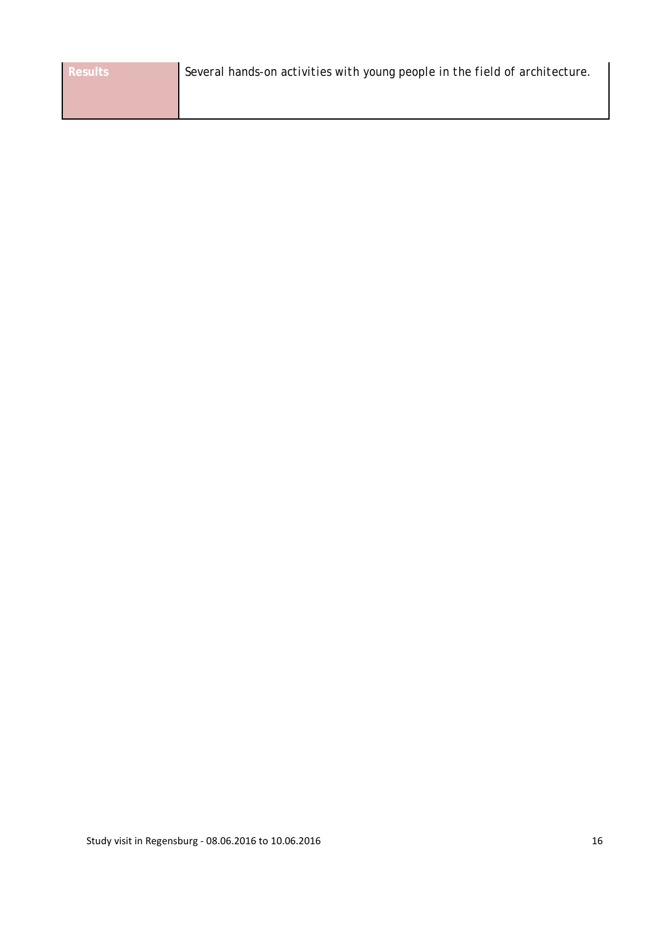| <b>Results</b> | Several hands-on activities with young people in the field of architecture. |
|----------------|-----------------------------------------------------------------------------|
|                |                                                                             |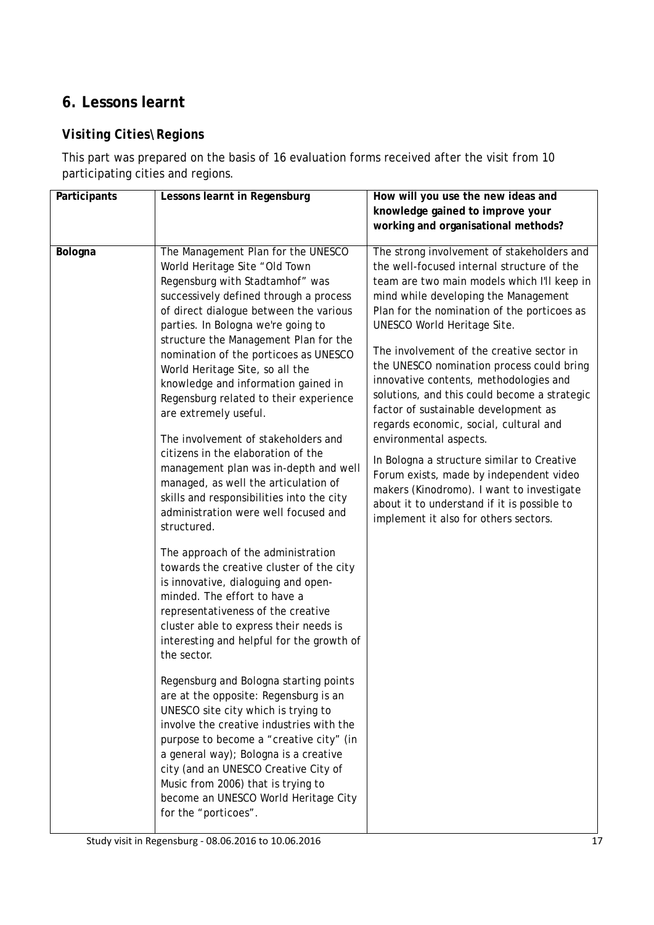# <span id="page-16-0"></span>**6. Lessons learnt**

### *Visiting Cities\Regions*

This part was prepared on the basis of 16 evaluation forms received after the visit from 10 participating cities and regions.

| Participants | Lessons learnt in Regensburg                                                                                                                                                                                                                                                                                                                                                                                                                                                                                                                                                                                                                                                                                                                                                                                                                                                                                                                                                                                                                                                                                                                                                                                                                                                                                                                                                                                                                   | How will you use the new ideas and<br>knowledge gained to improve your                                                                                                                                                                                                                                                                                                                                                                                                                                                                                                                                                                                                                                                                                                                      |  |
|--------------|------------------------------------------------------------------------------------------------------------------------------------------------------------------------------------------------------------------------------------------------------------------------------------------------------------------------------------------------------------------------------------------------------------------------------------------------------------------------------------------------------------------------------------------------------------------------------------------------------------------------------------------------------------------------------------------------------------------------------------------------------------------------------------------------------------------------------------------------------------------------------------------------------------------------------------------------------------------------------------------------------------------------------------------------------------------------------------------------------------------------------------------------------------------------------------------------------------------------------------------------------------------------------------------------------------------------------------------------------------------------------------------------------------------------------------------------|---------------------------------------------------------------------------------------------------------------------------------------------------------------------------------------------------------------------------------------------------------------------------------------------------------------------------------------------------------------------------------------------------------------------------------------------------------------------------------------------------------------------------------------------------------------------------------------------------------------------------------------------------------------------------------------------------------------------------------------------------------------------------------------------|--|
|              |                                                                                                                                                                                                                                                                                                                                                                                                                                                                                                                                                                                                                                                                                                                                                                                                                                                                                                                                                                                                                                                                                                                                                                                                                                                                                                                                                                                                                                                | working and organisational methods?                                                                                                                                                                                                                                                                                                                                                                                                                                                                                                                                                                                                                                                                                                                                                         |  |
| Bologna      | The Management Plan for the UNESCO<br>World Heritage Site "Old Town<br>Regensburg with Stadtamhof" was<br>successively defined through a process<br>of direct dialogue between the various<br>parties. In Bologna we're going to<br>structure the Management Plan for the<br>nomination of the porticoes as UNESCO<br>World Heritage Site, so all the<br>knowledge and information gained in<br>Regensburg related to their experience<br>are extremely useful.<br>The involvement of stakeholders and<br>citizens in the elaboration of the<br>management plan was in-depth and well<br>managed, as well the articulation of<br>skills and responsibilities into the city<br>administration were well focused and<br>structured.<br>The approach of the administration<br>towards the creative cluster of the city<br>is innovative, dialoguing and open-<br>minded. The effort to have a<br>representativeness of the creative<br>cluster able to express their needs is<br>interesting and helpful for the growth of<br>the sector.<br>Regensburg and Bologna starting points<br>are at the opposite: Regensburg is an<br>UNESCO site city which is trying to<br>involve the creative industries with the<br>purpose to become a "creative city" (in<br>a general way); Bologna is a creative<br>city (and an UNESCO Creative City of<br>Music from 2006) that is trying to<br>become an UNESCO World Heritage City<br>for the "porticoes". | The strong involvement of stakeholders and<br>the well-focused internal structure of the<br>team are two main models which I'll keep in<br>mind while developing the Management<br>Plan for the nomination of the porticoes as<br>UNESCO World Heritage Site.<br>The involvement of the creative sector in<br>the UNESCO nomination process could bring<br>innovative contents, methodologies and<br>solutions, and this could become a strategic<br>factor of sustainable development as<br>regards economic, social, cultural and<br>environmental aspects.<br>In Bologna a structure similar to Creative<br>Forum exists, made by independent video<br>makers (Kinodromo). I want to investigate<br>about it to understand if it is possible to<br>implement it also for others sectors. |  |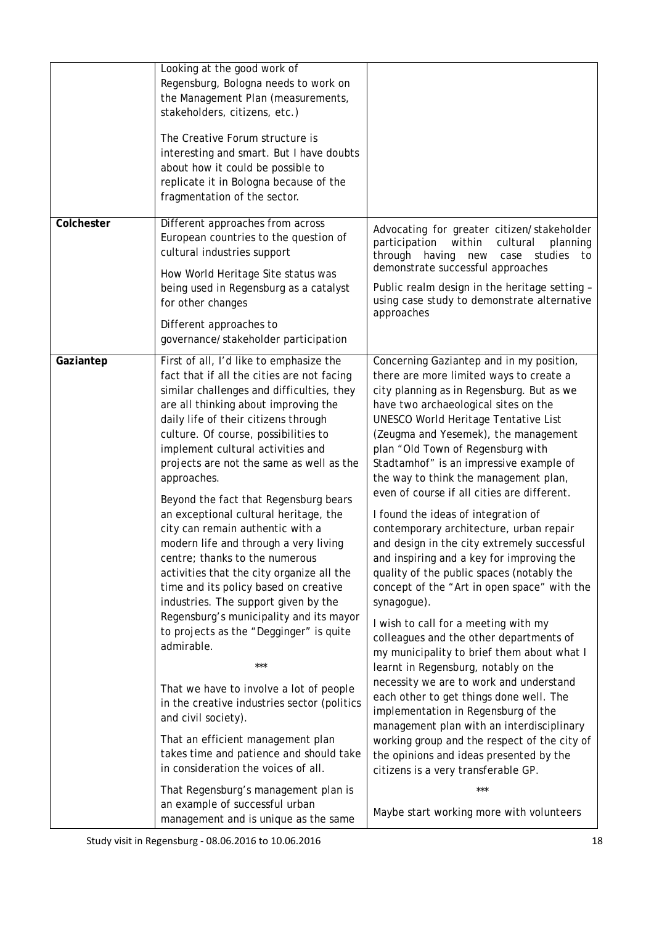|            | Looking at the good work of<br>Regensburg, Bologna needs to work on<br>the Management Plan (measurements,<br>stakeholders, citizens, etc.)<br>The Creative Forum structure is<br>interesting and smart. But I have doubts<br>about how it could be possible to<br>replicate it in Bologna because of the<br>fragmentation of the sector.                                                                                                                                                                                                                                                                                                                                                                                                                                                                                                                                                                                                                                                                                                                                                                                                                       |                                                                                                                                                                                                                                                                                                                                                                                                                                                                                                                                                                                                                                                                                                                                                                                                                                                                                                                                                                                                                                                                                                                                                                                                                                                                          |
|------------|----------------------------------------------------------------------------------------------------------------------------------------------------------------------------------------------------------------------------------------------------------------------------------------------------------------------------------------------------------------------------------------------------------------------------------------------------------------------------------------------------------------------------------------------------------------------------------------------------------------------------------------------------------------------------------------------------------------------------------------------------------------------------------------------------------------------------------------------------------------------------------------------------------------------------------------------------------------------------------------------------------------------------------------------------------------------------------------------------------------------------------------------------------------|--------------------------------------------------------------------------------------------------------------------------------------------------------------------------------------------------------------------------------------------------------------------------------------------------------------------------------------------------------------------------------------------------------------------------------------------------------------------------------------------------------------------------------------------------------------------------------------------------------------------------------------------------------------------------------------------------------------------------------------------------------------------------------------------------------------------------------------------------------------------------------------------------------------------------------------------------------------------------------------------------------------------------------------------------------------------------------------------------------------------------------------------------------------------------------------------------------------------------------------------------------------------------|
| Colchester | Different approaches from across<br>European countries to the question of<br>cultural industries support<br>How World Heritage Site status was<br>being used in Regensburg as a catalyst<br>for other changes<br>Different approaches to<br>governance/stakeholder participation                                                                                                                                                                                                                                                                                                                                                                                                                                                                                                                                                                                                                                                                                                                                                                                                                                                                               | Advocating for greater citizen/stakeholder<br>participation<br>within<br>cultural<br>planning<br>through having<br>case studies<br>new<br>to<br>demonstrate successful approaches<br>Public realm design in the heritage setting -<br>using case study to demonstrate alternative<br>approaches                                                                                                                                                                                                                                                                                                                                                                                                                                                                                                                                                                                                                                                                                                                                                                                                                                                                                                                                                                          |
| Gaziantep  | First of all, I'd like to emphasize the<br>fact that if all the cities are not facing<br>similar challenges and difficulties, they<br>are all thinking about improving the<br>daily life of their citizens through<br>culture. Of course, possibilities to<br>implement cultural activities and<br>projects are not the same as well as the<br>approaches.<br>Beyond the fact that Regensburg bears<br>an exceptional cultural heritage, the<br>city can remain authentic with a<br>modern life and through a very living<br>centre; thanks to the numerous<br>activities that the city organize all the<br>time and its policy based on creative<br>industries. The support given by the<br>Regensburg's municipality and its mayor<br>to projects as the "Degginger" is quite<br>admirable.<br>***<br>That we have to involve a lot of people<br>in the creative industries sector (politics<br>and civil society).<br>That an efficient management plan<br>takes time and patience and should take<br>in consideration the voices of all.<br>That Regensburg's management plan is<br>an example of successful urban<br>management and is unique as the same | Concerning Gaziantep and in my position,<br>there are more limited ways to create a<br>city planning as in Regensburg. But as we<br>have two archaeological sites on the<br><b>UNESCO World Heritage Tentative List</b><br>(Zeugma and Yesemek), the management<br>plan "Old Town of Regensburg with<br>Stadtamhof" is an impressive example of<br>the way to think the management plan,<br>even of course if all cities are different.<br>I found the ideas of integration of<br>contemporary architecture, urban repair<br>and design in the city extremely successful<br>and inspiring and a key for improving the<br>quality of the public spaces (notably the<br>concept of the "Art in open space" with the<br>synagogue).<br>I wish to call for a meeting with my<br>colleagues and the other departments of<br>my municipality to brief them about what I<br>learnt in Regensburg, notably on the<br>necessity we are to work and understand<br>each other to get things done well. The<br>implementation in Regensburg of the<br>management plan with an interdisciplinary<br>working group and the respect of the city of<br>the opinions and ideas presented by the<br>citizens is a very transferable GP.<br>***<br>Maybe start working more with volunteers |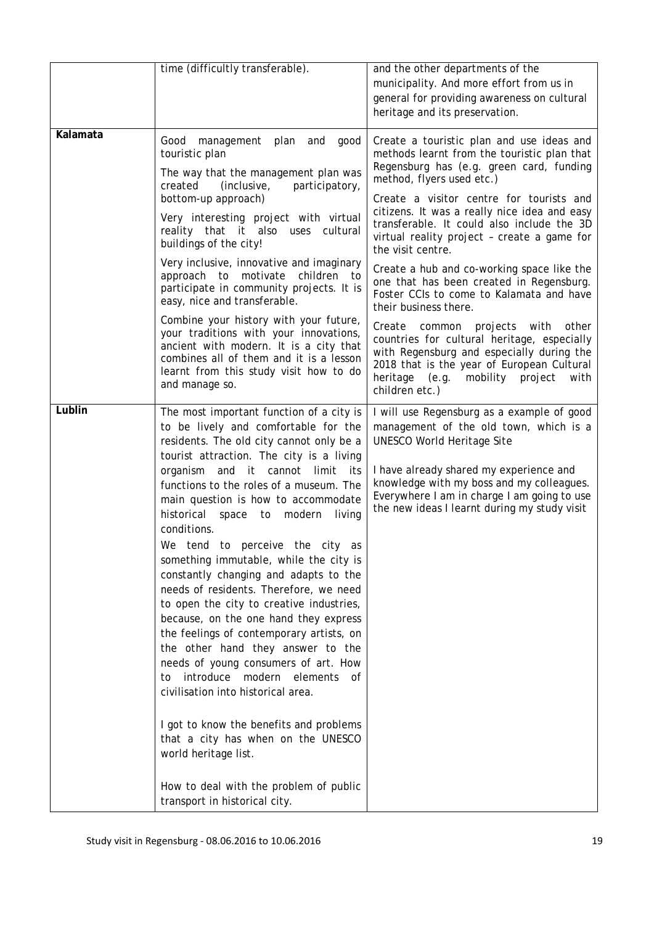|          | time (difficultly transferable).                                                                                                                                                                                                                                                                                                                                                                                                                                                                                                                                                                                                                                                                                                                                                                                                                                                                                                                                                                                         | and the other departments of the<br>municipality. And more effort from us in<br>general for providing awareness on cultural<br>heritage and its preservation.                                                                                                                                                                                                                                                                                                                                                                                                                                                                                                                                                                                                                                             |  |
|----------|--------------------------------------------------------------------------------------------------------------------------------------------------------------------------------------------------------------------------------------------------------------------------------------------------------------------------------------------------------------------------------------------------------------------------------------------------------------------------------------------------------------------------------------------------------------------------------------------------------------------------------------------------------------------------------------------------------------------------------------------------------------------------------------------------------------------------------------------------------------------------------------------------------------------------------------------------------------------------------------------------------------------------|-----------------------------------------------------------------------------------------------------------------------------------------------------------------------------------------------------------------------------------------------------------------------------------------------------------------------------------------------------------------------------------------------------------------------------------------------------------------------------------------------------------------------------------------------------------------------------------------------------------------------------------------------------------------------------------------------------------------------------------------------------------------------------------------------------------|--|
| Kalamata | Good management<br>plan<br>and<br>good<br>touristic plan<br>The way that the management plan was<br>created<br>(inclusive,<br>participatory,<br>bottom-up approach)<br>Very interesting project with virtual<br>reality that it also uses cultural<br>buildings of the city!<br>Very inclusive, innovative and imaginary<br>approach to motivate children to<br>participate in community projects. It is<br>easy, nice and transferable.<br>Combine your history with your future,<br>your traditions with your innovations,<br>ancient with modern. It is a city that<br>combines all of them and it is a lesson<br>learnt from this study visit how to do<br>and manage so.                                                                                                                                                                                                                                                                                                                                            | Create a touristic plan and use ideas and<br>methods learnt from the touristic plan that<br>Regensburg has (e.g. green card, funding<br>method, flyers used etc.)<br>Create a visitor centre for tourists and<br>citizens. It was a really nice idea and easy<br>transferable. It could also include the 3D<br>virtual reality project - create a game for<br>the visit centre.<br>Create a hub and co-working space like the<br>one that has been created in Regensburg.<br>Foster CCIs to come to Kalamata and have<br>their business there.<br>Create<br>projects with<br>other<br>common<br>countries for cultural heritage, especially<br>with Regensburg and especially during the<br>2018 that is the year of European Cultural<br>heritage<br>(e.g.<br>mobility project<br>with<br>children etc.) |  |
| Lublin   | The most important function of a city is<br>to be lively and comfortable for the<br>residents. The old city cannot only be a<br>tourist attraction. The city is a living<br>organism<br>and<br>it<br>cannot<br>limit<br>its<br>functions to the roles of a museum. The<br>main question is how to accommodate<br>historical space<br>to<br>modern<br>living<br>conditions.<br>We tend to perceive the city as<br>something immutable, while the city is<br>constantly changing and adapts to the<br>needs of residents. Therefore, we need<br>to open the city to creative industries,<br>because, on the one hand they express<br>the feelings of contemporary artists, on<br>the other hand they answer to the<br>needs of young consumers of art. How<br>introduce modern elements of<br>to<br>civilisation into historical area.<br>I got to know the benefits and problems<br>that a city has when on the UNESCO<br>world heritage list.<br>How to deal with the problem of public<br>transport in historical city. | I will use Regensburg as a example of good<br>management of the old town, which is a<br><b>UNESCO World Heritage Site</b><br>I have already shared my experience and<br>knowledge with my boss and my colleagues.<br>Everywhere I am in charge I am going to use<br>the new ideas I learnt during my study visit                                                                                                                                                                                                                                                                                                                                                                                                                                                                                          |  |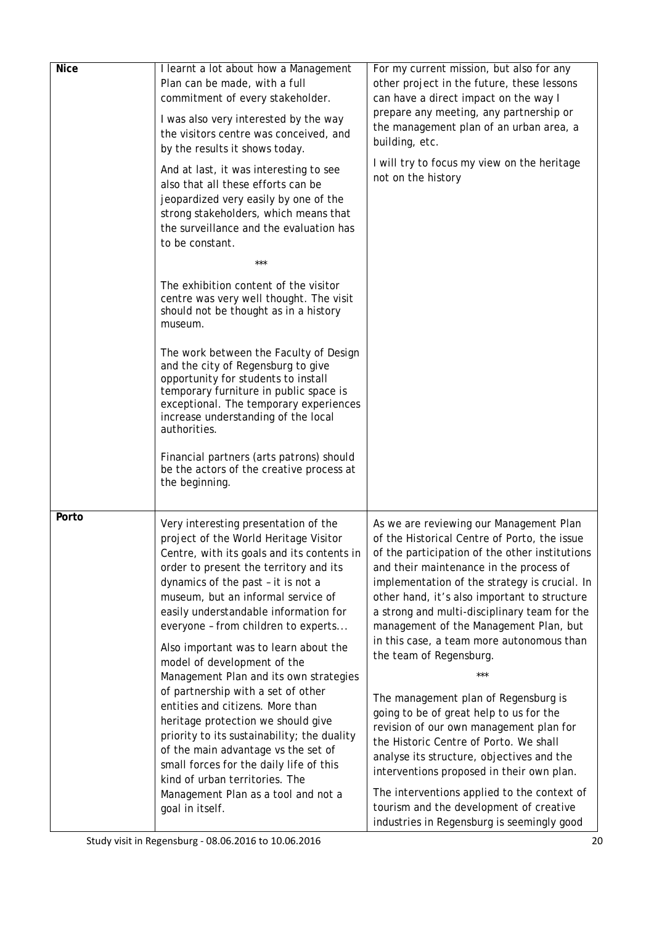| <b>Nice</b> | I learnt a lot about how a Management<br>Plan can be made, with a full<br>commitment of every stakeholder.<br>I was also very interested by the way<br>the visitors centre was conceived, and<br>by the results it shows today.<br>And at last, it was interesting to see<br>also that all these efforts can be<br>jeopardized very easily by one of the<br>strong stakeholders, which means that<br>the surveillance and the evaluation has<br>to be constant.<br>***<br>The exhibition content of the visitor<br>centre was very well thought. The visit<br>should not be thought as in a history<br>museum.<br>The work between the Faculty of Design<br>and the city of Regensburg to give<br>opportunity for students to install<br>temporary furniture in public space is<br>exceptional. The temporary experiences<br>increase understanding of the local<br>authorities.<br>Financial partners (arts patrons) should<br>be the actors of the creative process at<br>the beginning. | For my current mission, but also for any<br>other project in the future, these lessons<br>can have a direct impact on the way I<br>prepare any meeting, any partnership or<br>the management plan of an urban area, a<br>building, etc.<br>I will try to focus my view on the heritage<br>not on the history                                                                                                                                                                                                                                                                                                                                                                                                                                                                                                                                                             |
|-------------|--------------------------------------------------------------------------------------------------------------------------------------------------------------------------------------------------------------------------------------------------------------------------------------------------------------------------------------------------------------------------------------------------------------------------------------------------------------------------------------------------------------------------------------------------------------------------------------------------------------------------------------------------------------------------------------------------------------------------------------------------------------------------------------------------------------------------------------------------------------------------------------------------------------------------------------------------------------------------------------------|--------------------------------------------------------------------------------------------------------------------------------------------------------------------------------------------------------------------------------------------------------------------------------------------------------------------------------------------------------------------------------------------------------------------------------------------------------------------------------------------------------------------------------------------------------------------------------------------------------------------------------------------------------------------------------------------------------------------------------------------------------------------------------------------------------------------------------------------------------------------------|
| Porto       | Very interesting presentation of the<br>project of the World Heritage Visitor<br>Centre, with its goals and its contents in<br>order to present the territory and its<br>dynamics of the past - it is not a<br>museum, but an informal service of<br>easily understandable information for<br>everyone - from children to experts<br>Also important was to learn about the<br>model of development of the<br>Management Plan and its own strategies<br>of partnership with a set of other<br>entities and citizens. More than<br>heritage protection we should give<br>priority to its sustainability; the duality<br>of the main advantage vs the set of<br>small forces for the daily life of this<br>kind of urban territories. The<br>Management Plan as a tool and not a<br>goal in itself.                                                                                                                                                                                           | As we are reviewing our Management Plan<br>of the Historical Centre of Porto, the issue<br>of the participation of the other institutions<br>and their maintenance in the process of<br>implementation of the strategy is crucial. In<br>other hand, it's also important to structure<br>a strong and multi-disciplinary team for the<br>management of the Management Plan, but<br>in this case, a team more autonomous than<br>the team of Regensburg.<br>***<br>The management plan of Regensburg is<br>going to be of great help to us for the<br>revision of our own management plan for<br>the Historic Centre of Porto. We shall<br>analyse its structure, objectives and the<br>interventions proposed in their own plan.<br>The interventions applied to the context of<br>tourism and the development of creative<br>industries in Regensburg is seemingly good |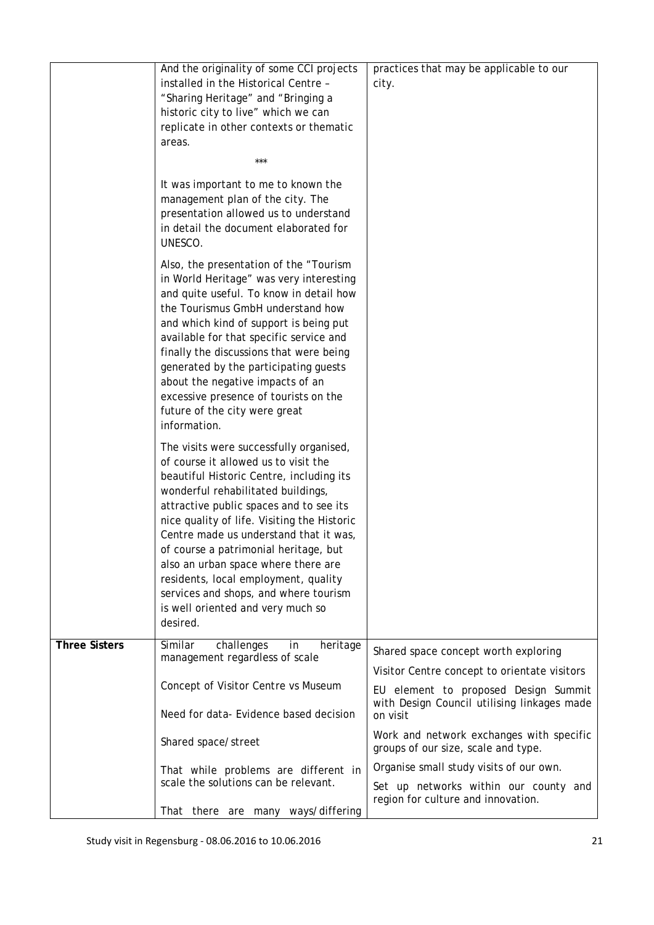|                                                                                                                                                                      | And the originality of some CCI projects<br>installed in the Historical Centre -<br>"Sharing Heritage" and "Bringing a<br>historic city to live" which we can<br>replicate in other contexts or thematic                                                                                                                                                                                                                                                                                                                | practices that may be applicable to our<br>city.                                                |
|----------------------------------------------------------------------------------------------------------------------------------------------------------------------|-------------------------------------------------------------------------------------------------------------------------------------------------------------------------------------------------------------------------------------------------------------------------------------------------------------------------------------------------------------------------------------------------------------------------------------------------------------------------------------------------------------------------|-------------------------------------------------------------------------------------------------|
|                                                                                                                                                                      | areas.                                                                                                                                                                                                                                                                                                                                                                                                                                                                                                                  |                                                                                                 |
|                                                                                                                                                                      | ***                                                                                                                                                                                                                                                                                                                                                                                                                                                                                                                     |                                                                                                 |
|                                                                                                                                                                      |                                                                                                                                                                                                                                                                                                                                                                                                                                                                                                                         |                                                                                                 |
| It was important to me to known the<br>management plan of the city. The<br>presentation allowed us to understand<br>in detail the document elaborated for<br>UNESCO. |                                                                                                                                                                                                                                                                                                                                                                                                                                                                                                                         |                                                                                                 |
|                                                                                                                                                                      | Also, the presentation of the "Tourism<br>in World Heritage" was very interesting<br>and quite useful. To know in detail how<br>the Tourismus GmbH understand how<br>and which kind of support is being put<br>available for that specific service and<br>finally the discussions that were being<br>generated by the participating guests<br>about the negative impacts of an<br>excessive presence of tourists on the<br>future of the city were great<br>information.                                                |                                                                                                 |
|                                                                                                                                                                      | The visits were successfully organised,<br>of course it allowed us to visit the<br>beautiful Historic Centre, including its<br>wonderful rehabilitated buildings,<br>attractive public spaces and to see its<br>nice quality of life. Visiting the Historic<br>Centre made us understand that it was,<br>of course a patrimonial heritage, but<br>also an urban space where there are<br>residents, local employment, quality<br>services and shops, and where tourism<br>is well oriented and very much so<br>desired. |                                                                                                 |
| <b>Three Sisters</b>                                                                                                                                                 | Similar<br>challenges<br>in<br>heritage<br>management regardless of scale                                                                                                                                                                                                                                                                                                                                                                                                                                               | Shared space concept worth exploring                                                            |
|                                                                                                                                                                      |                                                                                                                                                                                                                                                                                                                                                                                                                                                                                                                         | Visitor Centre concept to orientate visitors                                                    |
|                                                                                                                                                                      | Concept of Visitor Centre vs Museum<br>Need for data- Evidence based decision                                                                                                                                                                                                                                                                                                                                                                                                                                           | EU element to proposed Design Summit<br>with Design Council utilising linkages made<br>on visit |
|                                                                                                                                                                      | Shared space/street                                                                                                                                                                                                                                                                                                                                                                                                                                                                                                     | Work and network exchanges with specific<br>groups of our size, scale and type.                 |
|                                                                                                                                                                      | That while problems are different in                                                                                                                                                                                                                                                                                                                                                                                                                                                                                    | Organise small study visits of our own.                                                         |
|                                                                                                                                                                      | scale the solutions can be relevant.                                                                                                                                                                                                                                                                                                                                                                                                                                                                                    | Set up networks within our county and<br>region for culture and innovation.                     |
|                                                                                                                                                                      | That there are many ways/differing                                                                                                                                                                                                                                                                                                                                                                                                                                                                                      |                                                                                                 |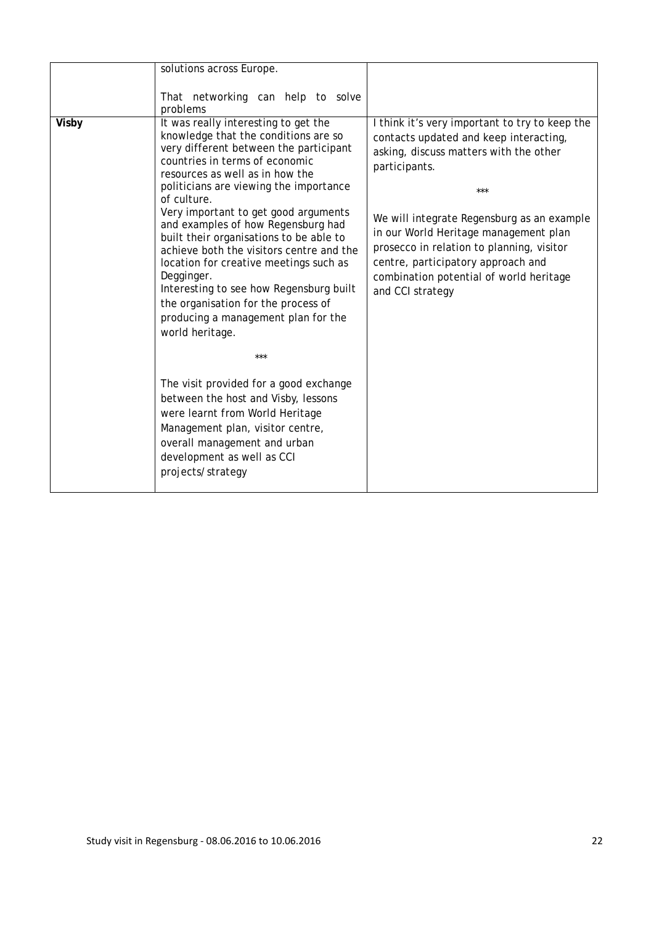| solutions across Europe.                                                                                                                                                                                                                                                                                                                                                                                                                                                                                                                                                                                                                                                                                                                                                                                                                                                                 |                                                                                                                                                                                                                                                                                                                                                                                                     |
|------------------------------------------------------------------------------------------------------------------------------------------------------------------------------------------------------------------------------------------------------------------------------------------------------------------------------------------------------------------------------------------------------------------------------------------------------------------------------------------------------------------------------------------------------------------------------------------------------------------------------------------------------------------------------------------------------------------------------------------------------------------------------------------------------------------------------------------------------------------------------------------|-----------------------------------------------------------------------------------------------------------------------------------------------------------------------------------------------------------------------------------------------------------------------------------------------------------------------------------------------------------------------------------------------------|
| That networking can help to solve<br>problems                                                                                                                                                                                                                                                                                                                                                                                                                                                                                                                                                                                                                                                                                                                                                                                                                                            |                                                                                                                                                                                                                                                                                                                                                                                                     |
| It was really interesting to get the<br>Visby<br>knowledge that the conditions are so<br>very different between the participant<br>countries in terms of economic<br>resources as well as in how the<br>politicians are viewing the importance<br>of culture.<br>Very important to get good arguments<br>and examples of how Regensburg had<br>built their organisations to be able to<br>achieve both the visitors centre and the<br>location for creative meetings such as<br>Degginger.<br>Interesting to see how Regensburg built<br>the organisation for the process of<br>producing a management plan for the<br>world heritage.<br>***<br>The visit provided for a good exchange<br>between the host and Visby, lessons<br>were learnt from World Heritage<br>Management plan, visitor centre,<br>overall management and urban<br>development as well as CCI<br>projects/strategy | I think it's very important to try to keep the<br>contacts updated and keep interacting,<br>asking, discuss matters with the other<br>participants.<br>***<br>We will integrate Regensburg as an example<br>in our World Heritage management plan<br>prosecco in relation to planning, visitor<br>centre, participatory approach and<br>combination potential of world heritage<br>and CCI strategy |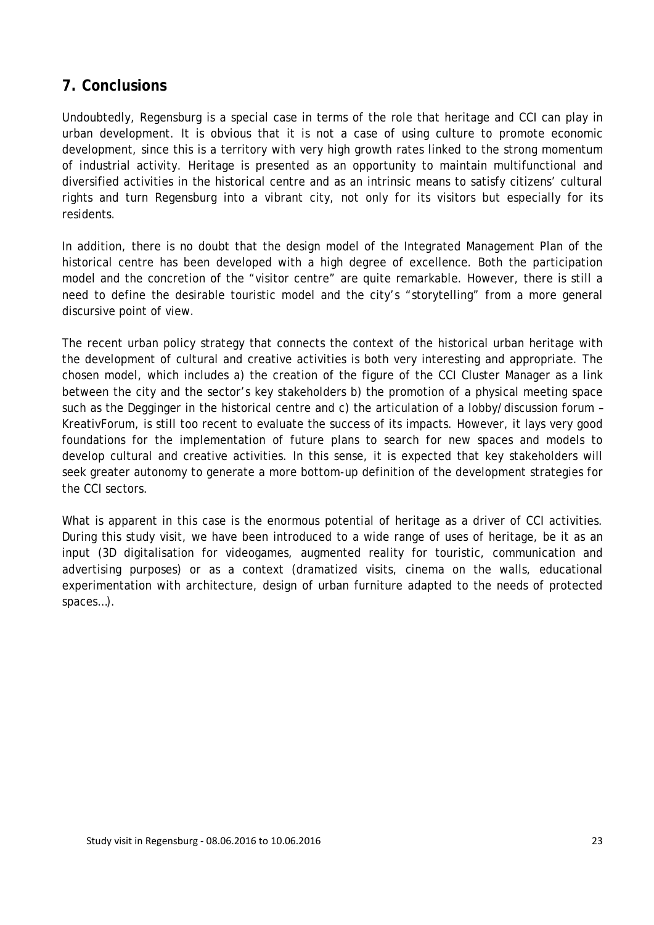### <span id="page-22-0"></span>**7. Conclusions**

Undoubtedly, Regensburg is a special case in terms of the role that heritage and CCI can play in urban development. It is obvious that it is not a case of using culture to promote economic development, since this is a territory with very high growth rates linked to the strong momentum of industrial activity. Heritage is presented as an opportunity to maintain multifunctional and diversified activities in the historical centre and as an intrinsic means to satisfy citizens' cultural rights and turn Regensburg into a vibrant city, not only for its visitors but especially for its residents.

In addition, there is no doubt that the design model of the Integrated Management Plan of the historical centre has been developed with a high degree of excellence. Both the participation model and the concretion of the "visitor centre" are quite remarkable. However, there is still a need to define the desirable touristic model and the city's "storytelling" from a more general discursive point of view.

The recent urban policy strategy that connects the context of the historical urban heritage with the development of cultural and creative activities is both very interesting and appropriate. The chosen model, which includes a) the creation of the figure of the CCI Cluster Manager as a link between the city and the sector's key stakeholders b) the promotion of a physical meeting space such as the Degginger in the historical centre and c) the articulation of a lobby/discussion forum – KreativForum, is still too recent to evaluate the success of its impacts. However, it lays very good foundations for the implementation of future plans to search for new spaces and models to develop cultural and creative activities. In this sense, it is expected that key stakeholders will seek greater autonomy to generate a more bottom-up definition of the development strategies for the CCI sectors.

What is apparent in this case is the enormous potential of heritage as a driver of CCI activities. During this study visit, we have been introduced to a wide range of uses of heritage, be it as an input (3D digitalisation for videogames, augmented reality for touristic, communication and advertising purposes) or as a context (dramatized visits, cinema on the walls, educational experimentation with architecture, design of urban furniture adapted to the needs of protected spaces…).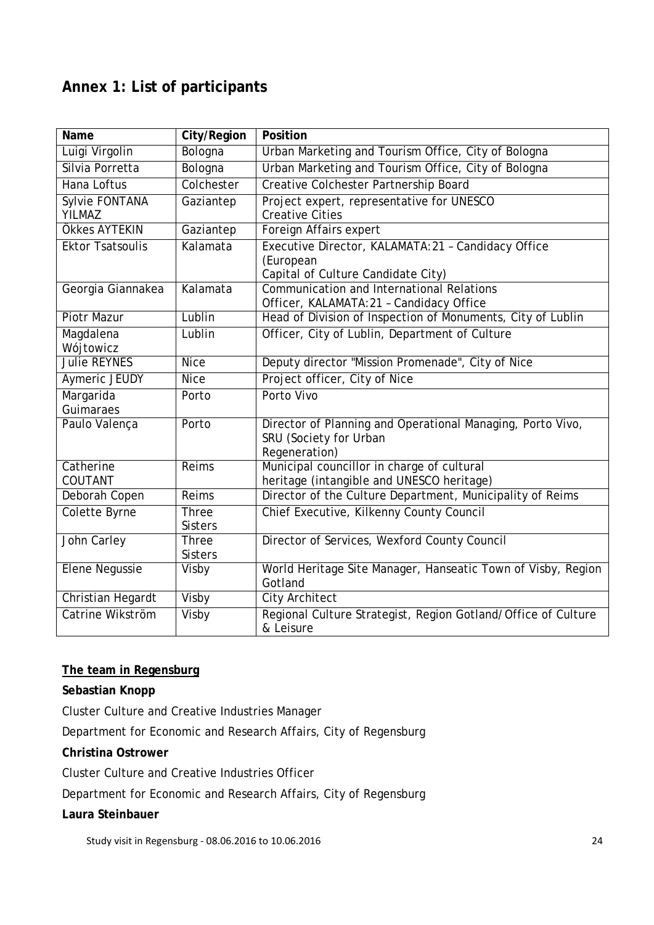# <span id="page-23-0"></span>**Annex 1: List of participants**

| <b>Name</b>             | City/Region    | Position                                                      |
|-------------------------|----------------|---------------------------------------------------------------|
| Luigi Virgolin          | Bologna        | Urban Marketing and Tourism Office, City of Bologna           |
| Silvia Porretta         | Bologna        | Urban Marketing and Tourism Office, City of Bologna           |
| Hana Loftus             | Colchester     | <b>Creative Colchester Partnership Board</b>                  |
| Sylvie FONTANA          | Gaziantep      | Project expert, representative for UNESCO                     |
| <b>YILMAZ</b>           |                | <b>Creative Cities</b>                                        |
| Ökkes AYTEKIN           | Gaziantep      | Foreign Affairs expert                                        |
| <b>Ektor Tsatsoulis</b> | Kalamata       | Executive Director, KALAMATA:21 - Candidacy Office            |
|                         |                | (European                                                     |
|                         |                | Capital of Culture Candidate City)                            |
| Georgia Giannakea       | Kalamata       | <b>Communication and International Relations</b>              |
|                         |                | Officer, KALAMATA: 21 - Candidacy Office                      |
| <b>Piotr Mazur</b>      | Lublin         | Head of Division of Inspection of Monuments, City of Lublin   |
| Magdalena               | Lublin         | Officer, City of Lublin, Department of Culture                |
| Wójtowicz               |                |                                                               |
| <b>Julie REYNES</b>     | <b>Nice</b>    | Deputy director "Mission Promenade", City of Nice             |
| Aymeric JEUDY           | <b>Nice</b>    | Project officer, City of Nice                                 |
| Margarida               | Porto          | Porto Vivo                                                    |
| Guimaraes               |                |                                                               |
| Paulo Valença           | Porto          | Director of Planning and Operational Managing, Porto Vivo,    |
|                         |                | SRU (Society for Urban                                        |
|                         |                | Regeneration)                                                 |
| Catherine               | Reims          | Municipal councillor in charge of cultural                    |
| COUTANT                 |                | heritage (intangible and UNESCO heritage)                     |
| Deborah Copen           | Reims          | Director of the Culture Department, Municipality of Reims     |
| <b>Colette Byrne</b>    | <b>Three</b>   | Chief Executive, Kilkenny County Council                      |
|                         | <b>Sisters</b> |                                                               |
| John Carley             | <b>Three</b>   | Director of Services, Wexford County Council                  |
|                         | <b>Sisters</b> |                                                               |
| <b>Elene Negussie</b>   | Visby          | World Heritage Site Manager, Hanseatic Town of Visby, Region  |
|                         |                | Gotland                                                       |
| Christian Hegardt       | Visby          | <b>City Architect</b>                                         |
| Catrine Wikström        | Visby          | Regional Culture Strategist, Region Gotland/Office of Culture |
|                         |                | & Leisure                                                     |

#### **The team in Regensburg**

#### **Sebastian Knopp**

Cluster Culture and Creative Industries Manager

Department for Economic and Research Affairs, City of Regensburg

#### **Christina Ostrower**

Cluster Culture and Creative Industries Officer

Department for Economic and Research Affairs, City of Regensburg

#### **Laura Steinbauer**

Study visit in Regensburg - 08.06.2016 to 10.06.2016 24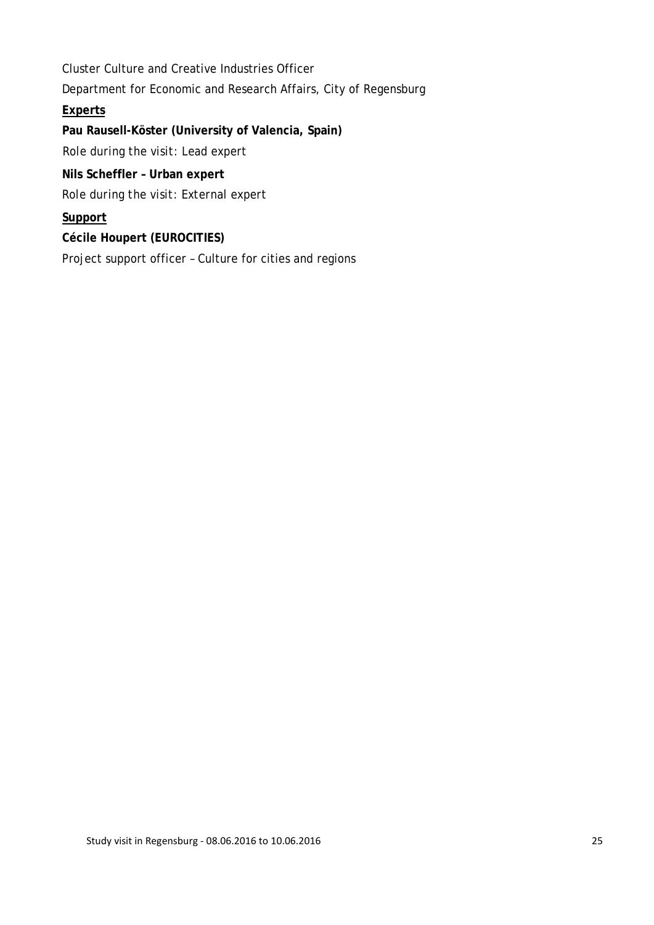Cluster Culture and Creative Industries Officer Department for Economic and Research Affairs, City of Regensburg **Experts Pau Rausell-Köster (University of Valencia, Spain)** *Role during the visit: Lead expert* **Nils Scheffler – Urban expert** *Role during the visit: External expert* **Support Cécile Houpert (EUROCITIES)** Project support officer – Culture for cities and regions